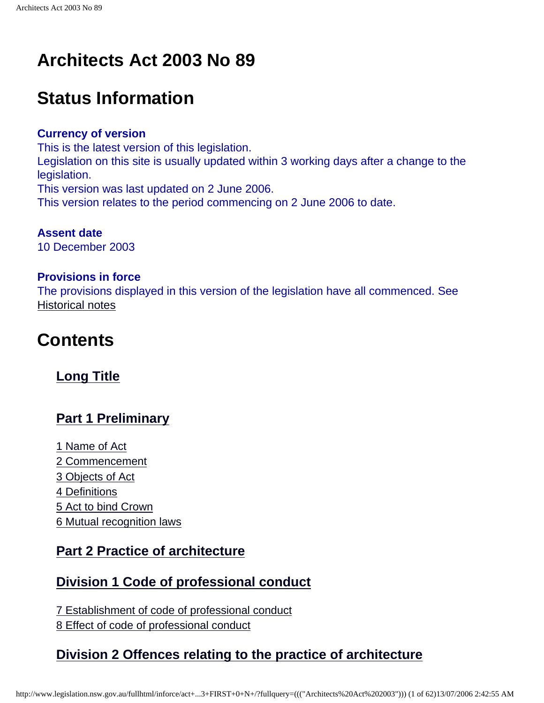# **Architects Act 2003 No 89**

# **Status Information**

#### **Currency of version**

This is the latest version of this legislation. Legislation on this site is usually updated within 3 working days after a change to the legislation. This version was last updated on 2 June 2006. This version relates to the period commencing on 2 June 2006 to date.

**Assent date** 10 December 2003

#### **Provisions in force**

The provisions displayed in this version of the legislation have all commenced. See [Historical notes](#page-60-0)

# **Contents**

#### **[Long Title](#page-5-0)**

#### **[Part 1 Preliminary](#page-5-1)**

[1 Name of Act](#page-5-2) [2 Commencement](#page-5-3) [3 Objects of Act](#page-5-4) [4 Definitions](#page-7-0) [5 Act to bind Crown](#page-7-1) [6 Mutual recognition laws](#page-7-2)

#### **[Part 2 Practice of architecture](#page-7-3)**

#### **[Division 1 Code of professional conduct](#page-7-4)**

[7 Establishment of code of professional conduct](#page-7-5) [8 Effect of code of professional conduct](#page-7-6)

### **[Division 2 Offences relating to the practice of architecture](#page-8-0)**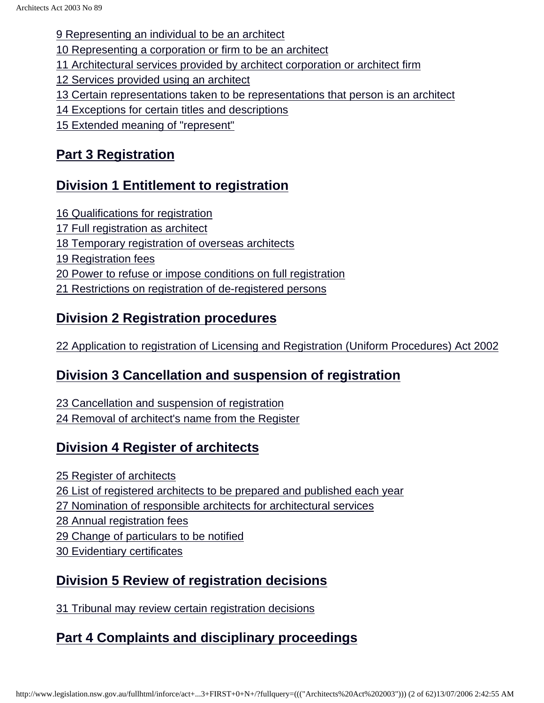[9 Representing an individual to be an architect](#page-8-1)

[10 Representing a corporation or firm to be an architect](#page-8-2)

[11 Architectural services provided by architect corporation or architect firm](#page-9-0)

[12 Services provided using an architect](#page-10-0)

- [13 Certain representations taken to be representations that person is an architect](#page-10-1)
- [14 Exceptions for certain titles and descriptions](#page-11-0)
- [15 Extended meaning of "represent"](#page-11-1)

## **[Part 3 Registration](#page-11-2)**

## **[Division 1 Entitlement to registration](#page-11-3)**

- [16 Qualifications for registration](#page-12-0)
- [17 Full registration as architect](#page-12-1)
- [18 Temporary registration of overseas architects](#page-13-0)
- [19 Registration fees](#page-13-1)
- [20 Power to refuse or impose conditions on full registration](#page-14-0)
- [21 Restrictions on registration of de-registered persons](#page-15-0)

## **[Division 2 Registration procedures](#page-15-1)**

[22 Application to registration of Licensing and Registration \(Uniform Procedures\) Act 2002](#page-15-1)

## **[Division 3 Cancellation and suspension of registration](#page-16-0)**

[23 Cancellation and suspension of registration](#page-16-1) [24 Removal of architect's name from the Register](#page-17-0)

## **[Division 4 Register of architects](#page-17-1)**

[25 Register of architects](#page-18-0) [26 List of registered architects to be prepared and published each year](#page-18-1) [27 Nomination of responsible architects for architectural services](#page-19-0) [28 Annual registration fees](#page-20-0) [29 Change of particulars to be notified](#page-20-1) [30 Evidentiary certificates](#page-20-2)

## **[Division 5 Review of registration decisions](#page-20-3)**

[31 Tribunal may review certain registration decisions](#page-21-0)

## **[Part 4 Complaints and disciplinary proceedings](#page-21-1)**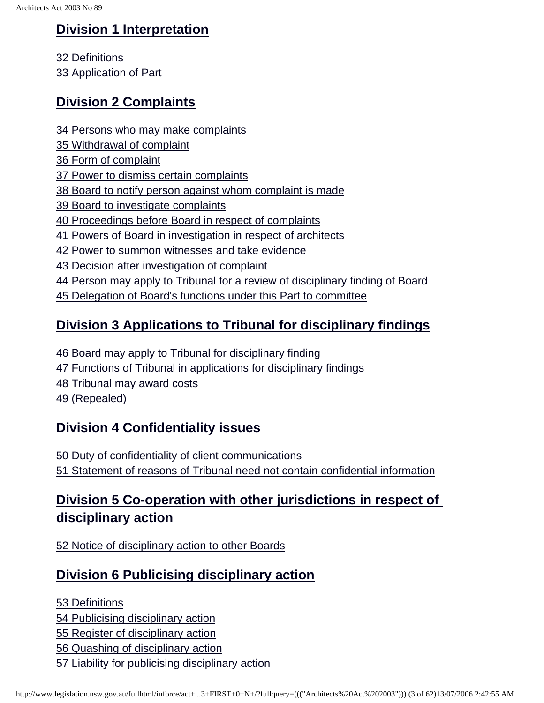### **[Division 1 Interpretation](#page-21-2)**

[32 Definitions](#page-22-0) [33 Application of Part](#page-22-1)

### **[Division 2 Complaints](#page-23-0)**

- [34 Persons who may make complaints](#page-23-1)
- [35 Withdrawal of complaint](#page-23-2)
- [36 Form of complaint](#page-23-3)
- [37 Power to dismiss certain complaints](#page-24-0)
- [38 Board to notify person against whom complaint is made](#page-25-0)
- [39 Board to investigate complaints](#page-25-1)
- [40 Proceedings before Board in respect of complaints](#page-26-0)
- [41 Powers of Board in investigation in respect of architects](#page-26-1)
- [42 Power to summon witnesses and take evidence](#page-27-0)
- [43 Decision after investigation of complaint](#page-28-0)
- [44 Person may apply to Tribunal for a review of disciplinary finding of Board](#page-29-0)
- [45 Delegation of Board's functions under this Part to committee](#page-29-1)

## **[Division 3 Applications to Tribunal for disciplinary findings](#page-29-2)**

[46 Board may apply to Tribunal for disciplinary finding](#page-29-3) [47 Functions of Tribunal in applications for disciplinary findings](#page-31-0) [48 Tribunal may award costs](#page-31-1) [49 \(Repealed\)](#page-31-2)

### **[Division 4 Confidentiality issues](#page-31-3)**

[50 Duty of confidentiality of client communications](#page-31-4) [51 Statement of reasons of Tribunal need not contain confidential information](#page-31-5)

## **[Division 5 Co-operation with other jurisdictions in respect of](#page-32-0) [disciplinary action](#page-32-0)**

[52 Notice of disciplinary action to other Boards](#page-33-0)

### **[Division 6 Publicising disciplinary action](#page-33-1)**

[53 Definitions](#page-33-2)

[54 Publicising disciplinary action](#page-34-0)

[55 Register of disciplinary action](#page-35-0)

[56 Quashing of disciplinary action](#page-35-1)

[57 Liability for publicising disciplinary action](#page-35-2)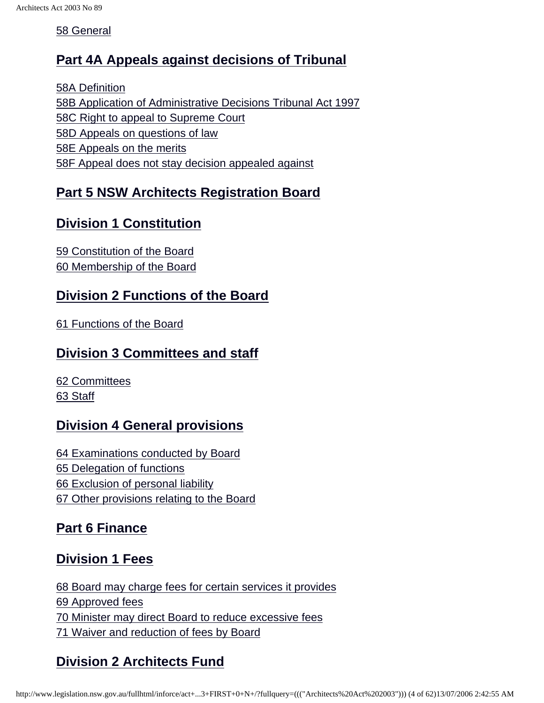[58 General](#page-35-3)

#### **[Part 4A Appeals against decisions of Tribunal](#page-36-0)**

[58A Definition](#page-36-1) [58B Application of Administrative Decisions Tribunal Act 1997](#page-36-2) [58C Right to appeal to Supreme Court](#page-37-0) [58D Appeals on questions of law](#page-37-1) [58E Appeals on the merits](#page-37-2) [58F Appeal does not stay decision appealed against](#page-38-0)

#### **[Part 5 NSW Architects Registration Board](#page-38-1)**

### **[Division 1 Constitution](#page-38-2)**

[59 Constitution of the Board](#page-38-3) [60 Membership of the Board](#page-40-0)

#### **[Division 2 Functions of the Board](#page-40-1)**

[61 Functions of the Board](#page-41-0)

#### **[Division 3 Committees and staff](#page-41-1)**

[62 Committees](#page-41-2) [63 Staff](#page-41-3)

#### **[Division 4 General provisions](#page-41-4)**

[64 Examinations conducted by Board](#page-42-0) [65 Delegation of functions](#page-42-1) [66 Exclusion of personal liability](#page-43-0) [67 Other provisions relating to the Board](#page-43-1)

### **[Part 6 Finance](#page-43-2)**

### **[Division 1 Fees](#page-43-3)**

[68 Board may charge fees for certain services it provides](#page-43-4) [69 Approved fees](#page-43-5) [70 Minister may direct Board to reduce excessive fees](#page-44-0) [71 Waiver and reduction of fees by Board](#page-44-1)

## **[Division 2 Architects Fund](#page-44-2)**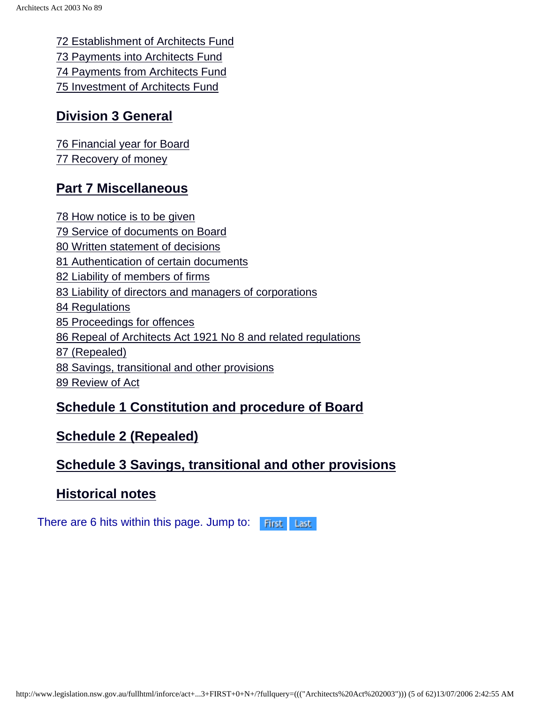[72 Establishment of Architects Fund](#page-44-3) [73 Payments into Architects Fund](#page-44-4) [74 Payments from Architects Fund](#page-45-0) [75 Investment of Architects Fund](#page-45-1)

#### **[Division 3 General](#page-45-2)**

[76 Financial year for Board](#page-45-3) [77 Recovery of money](#page-45-4)

#### **[Part 7 Miscellaneous](#page-45-5)**

[78 How notice is to be given](#page-45-6) [79 Service of documents on Board](#page-46-0) [80 Written statement of decisions](#page-47-0) [81 Authentication of certain documents](#page-47-1) [82 Liability of members of firms](#page-47-2) [83 Liability of directors and managers of corporations](#page-48-0) [84 Regulations](#page-48-1) [85 Proceedings for offences](#page-49-0) [86 Repeal of Architects Act 1921 No 8 and related regulations](#page-49-0) [87 \(Repealed\)](#page-49-1) [88 Savings, transitional and other provisions](#page-49-2) [89 Review of Act](#page-49-3)

#### **[Schedule 1 Constitution and procedure of Board](#page-49-4)**

#### **[Schedule 2 \(Repealed\)](#page-55-0)**

#### **[Schedule 3 Savings, transitional and other provisions](#page-55-1)**

#### **[Historical notes](#page-60-0)**

There are 6 hits within this page. Jump to: First Last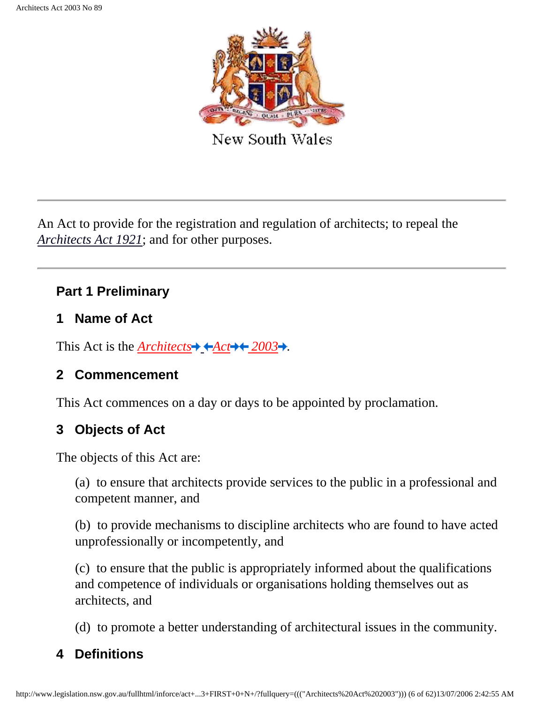

New South Wales

<span id="page-5-0"></span>An Act to provide for the registration and regulation of architects; to repeal the *[Architects Act 1921](http://www.legislation.nsw.gov.au/summarize/inforce/s/1/?xref=RecordType%3DACTTOC%20AND%20Year%3D1921%20AND%20Actno%3D8&nohits=y)*; and for other purposes.

### **Part 1 Preliminary**

#### <span id="page-5-1"></span>**1 Name of Act**

<span id="page-5-5"></span><span id="page-5-2"></span>This Act is the *[Architects](http://www.legislation.nsw.gov.au/summarize/inforce/s/1/?xref=RecordType%3DACTTOC%20AND%20Year%3D2003%20AND%20Actno%3D89&nohits=y)*  $\blacktriangleright$   $\blacktriangle$  *Act* $\blacktriangleright$   $\blacktriangleright$  2003 $\blacktriangleright$ .

### **2 Commencement**

This Act commences on a day or days to be appointed by proclamation.

## <span id="page-5-3"></span>**3 Objects of Act**

The objects of this Act are:

(a) to ensure that architects provide services to the public in a professional and competent manner, and

(b) to provide mechanisms to discipline architects who are found to have acted unprofessionally or incompetently, and

(c) to ensure that the public is appropriately informed about the qualifications and competence of individuals or organisations holding themselves out as architects, and

(d) to promote a better understanding of architectural issues in the community.

## <span id="page-5-4"></span>**4 Definitions**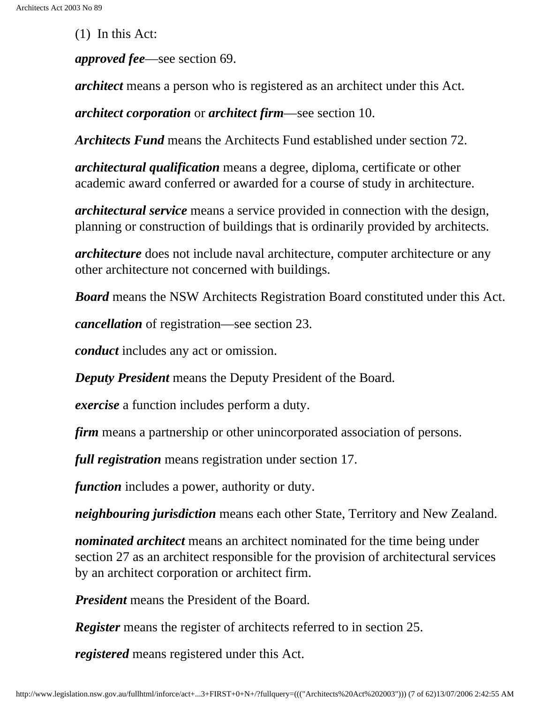(1) In this Act:

*approved fee*—see section 69.

*architect* means a person who is registered as an architect under this Act.

*architect corporation* or *architect firm*—see section 10.

*Architects Fund* means the Architects Fund established under section 72.

*architectural qualification* means a degree, diploma, certificate or other academic award conferred or awarded for a course of study in architecture.

*architectural service* means a service provided in connection with the design, planning or construction of buildings that is ordinarily provided by architects.

*architecture* does not include naval architecture, computer architecture or any other architecture not concerned with buildings.

*Board* means the NSW Architects Registration Board constituted under this Act.

*cancellation* of registration—see section 23.

*conduct* includes any act or omission.

*Deputy President* means the Deputy President of the Board.

*exercise* a function includes perform a duty.

*firm* means a partnership or other unincorporated association of persons.

*full registration* means registration under section 17.

*function* includes a power, authority or duty.

*neighbouring jurisdiction* means each other State, Territory and New Zealand.

*nominated architect* means an architect nominated for the time being under section 27 as an architect responsible for the provision of architectural services by an architect corporation or architect firm.

*President* means the President of the Board.

*Register* means the register of architects referred to in section 25.

*registered* means registered under this Act.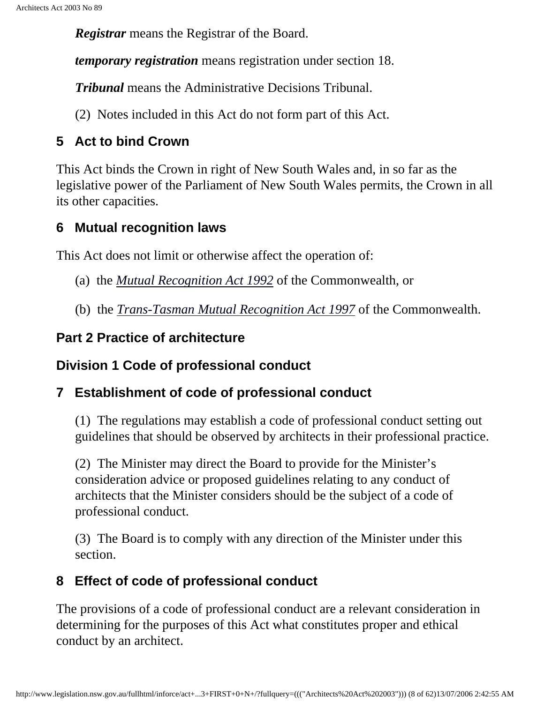*Registrar* means the Registrar of the Board.

*temporary registration* means registration under section 18.

*Tribunal* means the Administrative Decisions Tribunal.

(2) Notes included in this Act do not form part of this Act.

## <span id="page-7-0"></span>**5 Act to bind Crown**

This Act binds the Crown in right of New South Wales and, in so far as the legislative power of the Parliament of New South Wales permits, the Crown in all its other capacities.

## <span id="page-7-1"></span>**6 Mutual recognition laws**

<span id="page-7-2"></span>This Act does not limit or otherwise affect the operation of:

- (a) the *[Mutual Recognition Act 1992](http://www.comlaw.gov.au/)* of the Commonwealth, or
- (b) the *[Trans-Tasman Mutual Recognition Act 1997](http://www.comlaw.gov.au/)* of the Commonwealth.

## **Part 2 Practice of architecture**

## <span id="page-7-3"></span>**Division 1 Code of professional conduct**

## <span id="page-7-4"></span>**7 Establishment of code of professional conduct**

(1) The regulations may establish a code of professional conduct setting out guidelines that should be observed by architects in their professional practice.

(2) The Minister may direct the Board to provide for the Minister's consideration advice or proposed guidelines relating to any conduct of architects that the Minister considers should be the subject of a code of professional conduct.

(3) The Board is to comply with any direction of the Minister under this section.

## <span id="page-7-5"></span>**8 Effect of code of professional conduct**

<span id="page-7-6"></span>The provisions of a code of professional conduct are a relevant consideration in determining for the purposes of this Act what constitutes proper and ethical conduct by an architect.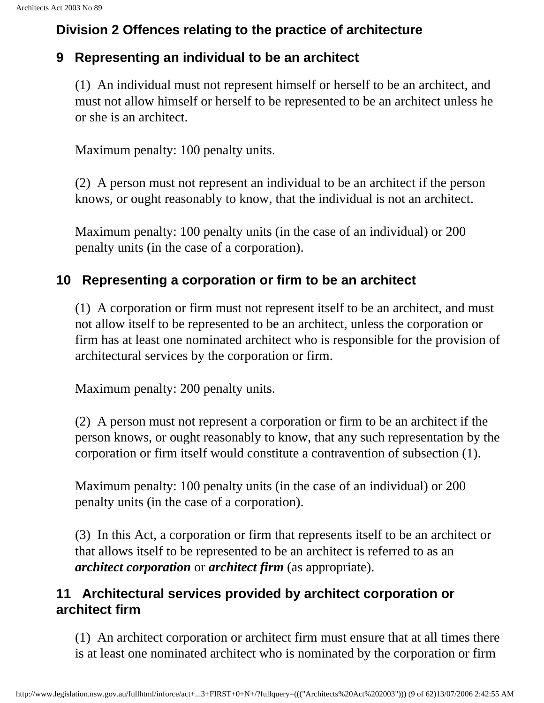## **Division 2 Offences relating to the practice of architecture**

#### <span id="page-8-0"></span>**9 Representing an individual to be an architect**

(1) An individual must not represent himself or herself to be an architect, and must not allow himself or herself to be represented to be an architect unless he or she is an architect.

Maximum penalty: 100 penalty units.

(2) A person must not represent an individual to be an architect if the person knows, or ought reasonably to know, that the individual is not an architect.

Maximum penalty: 100 penalty units (in the case of an individual) or 200 penalty units (in the case of a corporation).

### <span id="page-8-1"></span>**10 Representing a corporation or firm to be an architect**

(1) A corporation or firm must not represent itself to be an architect, and must not allow itself to be represented to be an architect, unless the corporation or firm has at least one nominated architect who is responsible for the provision of architectural services by the corporation or firm.

Maximum penalty: 200 penalty units.

(2) A person must not represent a corporation or firm to be an architect if the person knows, or ought reasonably to know, that any such representation by the corporation or firm itself would constitute a contravention of subsection (1).

Maximum penalty: 100 penalty units (in the case of an individual) or 200 penalty units (in the case of a corporation).

(3) In this Act, a corporation or firm that represents itself to be an architect or that allows itself to be represented to be an architect is referred to as an *architect corporation* or *architect firm* (as appropriate).

#### <span id="page-8-2"></span>**11 Architectural services provided by architect corporation or architect firm**

(1) An architect corporation or architect firm must ensure that at all times there is at least one nominated architect who is nominated by the corporation or firm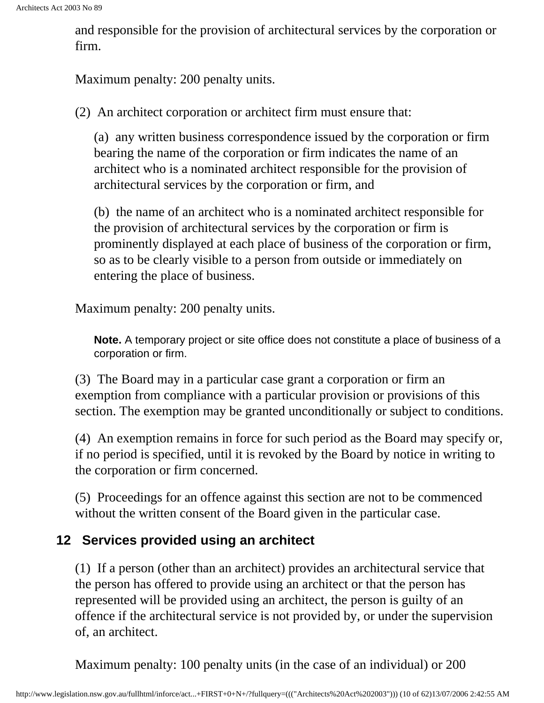and responsible for the provision of architectural services by the corporation or firm.

Maximum penalty: 200 penalty units.

(2) An architect corporation or architect firm must ensure that:

(a) any written business correspondence issued by the corporation or firm bearing the name of the corporation or firm indicates the name of an architect who is a nominated architect responsible for the provision of architectural services by the corporation or firm, and

(b) the name of an architect who is a nominated architect responsible for the provision of architectural services by the corporation or firm is prominently displayed at each place of business of the corporation or firm, so as to be clearly visible to a person from outside or immediately on entering the place of business.

<span id="page-9-0"></span>Maximum penalty: 200 penalty units.

**Note.** A temporary project or site office does not constitute a place of business of a corporation or firm.

(3) The Board may in a particular case grant a corporation or firm an exemption from compliance with a particular provision or provisions of this section. The exemption may be granted unconditionally or subject to conditions.

(4) An exemption remains in force for such period as the Board may specify or, if no period is specified, until it is revoked by the Board by notice in writing to the corporation or firm concerned.

(5) Proceedings for an offence against this section are not to be commenced without the written consent of the Board given in the particular case.

### **12 Services provided using an architect**

(1) If a person (other than an architect) provides an architectural service that the person has offered to provide using an architect or that the person has represented will be provided using an architect, the person is guilty of an offence if the architectural service is not provided by, or under the supervision of, an architect.

Maximum penalty: 100 penalty units (in the case of an individual) or 200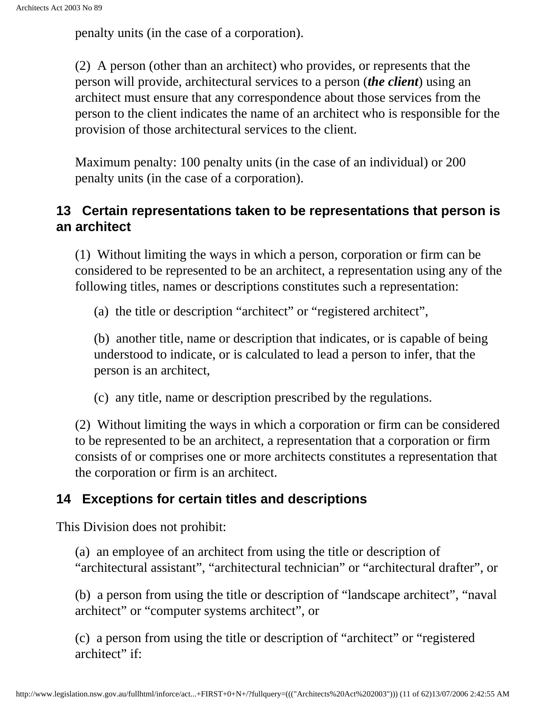penalty units (in the case of a corporation).

(2) A person (other than an architect) who provides, or represents that the person will provide, architectural services to a person (*the client*) using an architect must ensure that any correspondence about those services from the person to the client indicates the name of an architect who is responsible for the provision of those architectural services to the client.

Maximum penalty: 100 penalty units (in the case of an individual) or 200 penalty units (in the case of a corporation).

#### <span id="page-10-0"></span>**13 Certain representations taken to be representations that person is an architect**

(1) Without limiting the ways in which a person, corporation or firm can be considered to be represented to be an architect, a representation using any of the following titles, names or descriptions constitutes such a representation:

(a) the title or description "architect" or "registered architect",

(b) another title, name or description that indicates, or is capable of being understood to indicate, or is calculated to lead a person to infer, that the person is an architect,

(c) any title, name or description prescribed by the regulations.

(2) Without limiting the ways in which a corporation or firm can be considered to be represented to be an architect, a representation that a corporation or firm consists of or comprises one or more architects constitutes a representation that the corporation or firm is an architect.

#### <span id="page-10-1"></span>**14 Exceptions for certain titles and descriptions**

This Division does not prohibit:

(a) an employee of an architect from using the title or description of "architectural assistant", "architectural technician" or "architectural drafter", or

(b) a person from using the title or description of "landscape architect", "naval architect" or "computer systems architect", or

(c) a person from using the title or description of "architect" or "registered architect" if: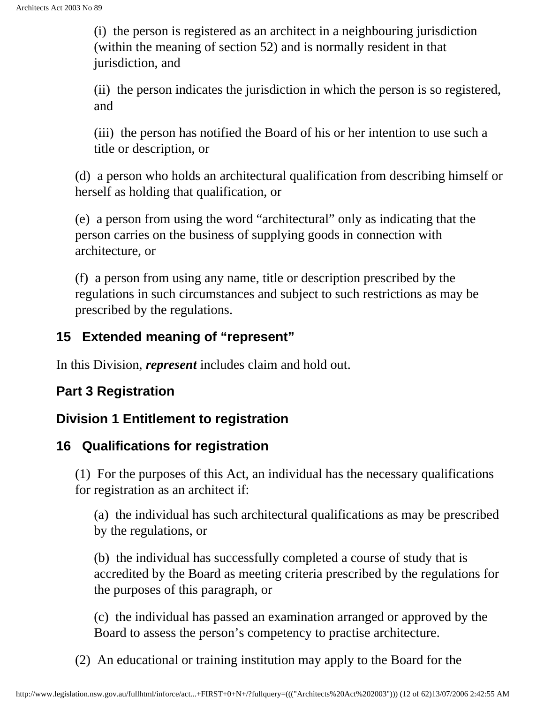(i) the person is registered as an architect in a neighbouring jurisdiction (within the meaning of section 52) and is normally resident in that jurisdiction, and

(ii) the person indicates the jurisdiction in which the person is so registered, and

(iii) the person has notified the Board of his or her intention to use such a title or description, or

(d) a person who holds an architectural qualification from describing himself or herself as holding that qualification, or

(e) a person from using the word "architectural" only as indicating that the person carries on the business of supplying goods in connection with architecture, or

(f) a person from using any name, title or description prescribed by the regulations in such circumstances and subject to such restrictions as may be prescribed by the regulations.

#### <span id="page-11-0"></span>**15 Extended meaning of "represent"**

In this Division, *represent* includes claim and hold out.

#### <span id="page-11-1"></span>**Part 3 Registration**

#### <span id="page-11-2"></span>**Division 1 Entitlement to registration**

#### <span id="page-11-3"></span>**16 Qualifications for registration**

(1) For the purposes of this Act, an individual has the necessary qualifications for registration as an architect if:

(a) the individual has such architectural qualifications as may be prescribed by the regulations, or

(b) the individual has successfully completed a course of study that is accredited by the Board as meeting criteria prescribed by the regulations for the purposes of this paragraph, or

(c) the individual has passed an examination arranged or approved by the Board to assess the person's competency to practise architecture.

(2) An educational or training institution may apply to the Board for the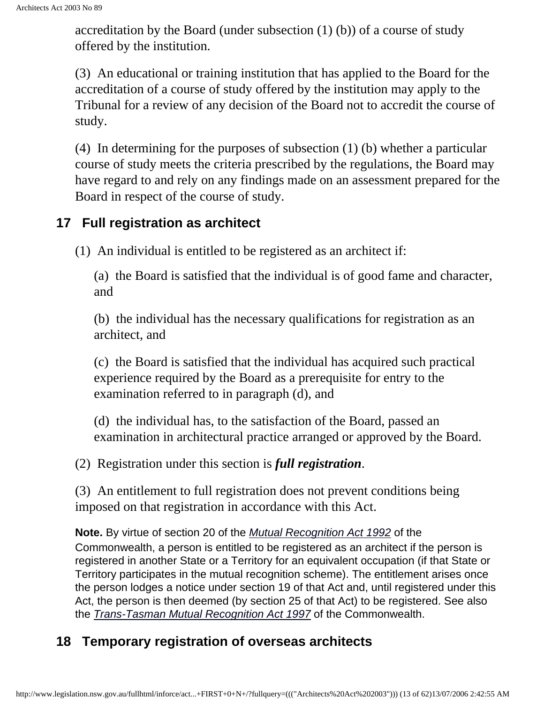accreditation by the Board (under subsection (1) (b)) of a course of study offered by the institution.

(3) An educational or training institution that has applied to the Board for the accreditation of a course of study offered by the institution may apply to the Tribunal for a review of any decision of the Board not to accredit the course of study.

(4) In determining for the purposes of subsection (1) (b) whether a particular course of study meets the criteria prescribed by the regulations, the Board may have regard to and rely on any findings made on an assessment prepared for the Board in respect of the course of study.

#### <span id="page-12-0"></span>**17 Full registration as architect**

(1) An individual is entitled to be registered as an architect if:

(a) the Board is satisfied that the individual is of good fame and character, and

(b) the individual has the necessary qualifications for registration as an architect, and

(c) the Board is satisfied that the individual has acquired such practical experience required by the Board as a prerequisite for entry to the examination referred to in paragraph (d), and

(d) the individual has, to the satisfaction of the Board, passed an examination in architectural practice arranged or approved by the Board.

(2) Registration under this section is *full registration*.

(3) An entitlement to full registration does not prevent conditions being imposed on that registration in accordance with this Act.

<span id="page-12-1"></span>**Note.** By virtue of section 20 of the *[Mutual Recognition Act 1992](http://www.comlaw.gov.au/)* of the Commonwealth, a person is entitled to be registered as an architect if the person is registered in another State or a Territory for an equivalent occupation (if that State or Territory participates in the mutual recognition scheme). The entitlement arises once the person lodges a notice under section 19 of that Act and, until registered under this Act, the person is then deemed (by section 25 of that Act) to be registered. See also the *[Trans-Tasman Mutual Recognition Act 1997](http://www.comlaw.gov.au/)* of the Commonwealth.

### **18 Temporary registration of overseas architects**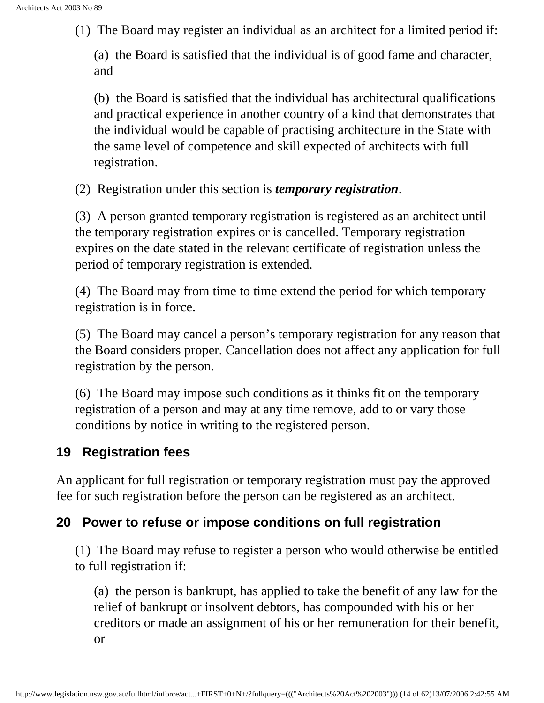(1) The Board may register an individual as an architect for a limited period if:

(a) the Board is satisfied that the individual is of good fame and character, and

(b) the Board is satisfied that the individual has architectural qualifications and practical experience in another country of a kind that demonstrates that the individual would be capable of practising architecture in the State with the same level of competence and skill expected of architects with full registration.

(2) Registration under this section is *temporary registration*.

(3) A person granted temporary registration is registered as an architect until the temporary registration expires or is cancelled. Temporary registration expires on the date stated in the relevant certificate of registration unless the period of temporary registration is extended.

(4) The Board may from time to time extend the period for which temporary registration is in force.

(5) The Board may cancel a person's temporary registration for any reason that the Board considers proper. Cancellation does not affect any application for full registration by the person.

(6) The Board may impose such conditions as it thinks fit on the temporary registration of a person and may at any time remove, add to or vary those conditions by notice in writing to the registered person.

#### <span id="page-13-0"></span>**19 Registration fees**

An applicant for full registration or temporary registration must pay the approved fee for such registration before the person can be registered as an architect.

#### <span id="page-13-1"></span>**20 Power to refuse or impose conditions on full registration**

(1) The Board may refuse to register a person who would otherwise be entitled to full registration if:

(a) the person is bankrupt, has applied to take the benefit of any law for the relief of bankrupt or insolvent debtors, has compounded with his or her creditors or made an assignment of his or her remuneration for their benefit, or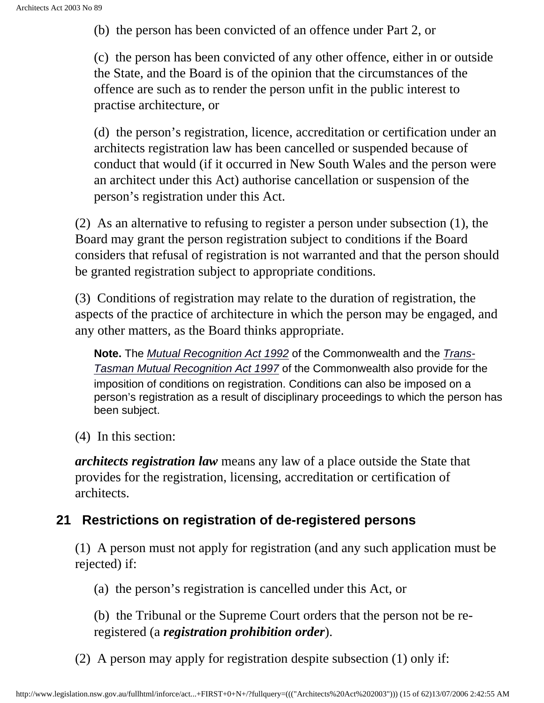(b) the person has been convicted of an offence under Part 2, or

(c) the person has been convicted of any other offence, either in or outside the State, and the Board is of the opinion that the circumstances of the offence are such as to render the person unfit in the public interest to practise architecture, or

(d) the person's registration, licence, accreditation or certification under an architects registration law has been cancelled or suspended because of conduct that would (if it occurred in New South Wales and the person were an architect under this Act) authorise cancellation or suspension of the person's registration under this Act.

(2) As an alternative to refusing to register a person under subsection (1), the Board may grant the person registration subject to conditions if the Board considers that refusal of registration is not warranted and that the person should be granted registration subject to appropriate conditions.

<span id="page-14-0"></span>(3) Conditions of registration may relate to the duration of registration, the aspects of the practice of architecture in which the person may be engaged, and any other matters, as the Board thinks appropriate.

**Note.** The *[Mutual Recognition Act 1992](http://www.comlaw.gov.au/)* of the Commonwealth and the *[Trans-](http://www.comlaw.gov.au/)[Tasman Mutual Recognition Act 1997](http://www.comlaw.gov.au/)* of the Commonwealth also provide for the imposition of conditions on registration. Conditions can also be imposed on a person's registration as a result of disciplinary proceedings to which the person has been subject.

(4) In this section:

*architects registration law* means any law of a place outside the State that provides for the registration, licensing, accreditation or certification of architects.

#### **21 Restrictions on registration of de-registered persons**

(1) A person must not apply for registration (and any such application must be rejected) if:

(a) the person's registration is cancelled under this Act, or

(b) the Tribunal or the Supreme Court orders that the person not be reregistered (a *registration prohibition order*).

(2) A person may apply for registration despite subsection (1) only if: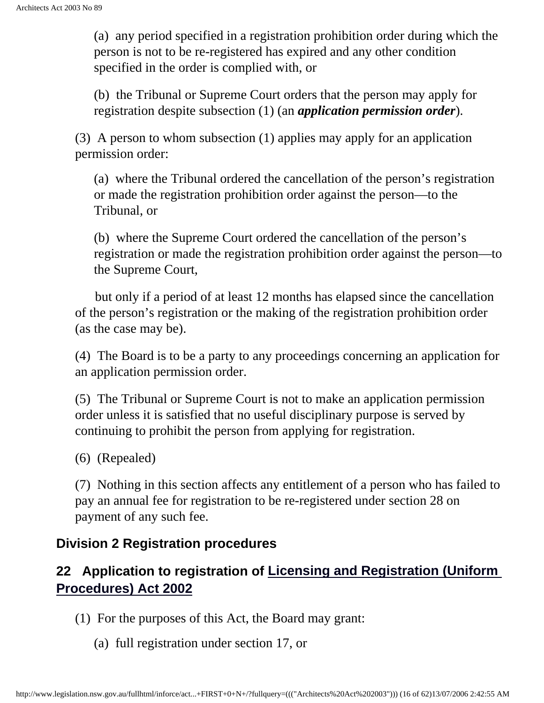(a) any period specified in a registration prohibition order during which the person is not to be re-registered has expired and any other condition specified in the order is complied with, or

(b) the Tribunal or Supreme Court orders that the person may apply for registration despite subsection (1) (an *application permission order*).

(3) A person to whom subsection (1) applies may apply for an application permission order:

(a) where the Tribunal ordered the cancellation of the person's registration or made the registration prohibition order against the person—to the Tribunal, or

(b) where the Supreme Court ordered the cancellation of the person's registration or made the registration prohibition order against the person—to the Supreme Court,

 but only if a period of at least 12 months has elapsed since the cancellation of the person's registration or the making of the registration prohibition order (as the case may be).

(4) The Board is to be a party to any proceedings concerning an application for an application permission order.

(5) The Tribunal or Supreme Court is not to make an application permission order unless it is satisfied that no useful disciplinary purpose is served by continuing to prohibit the person from applying for registration.

(6) (Repealed)

(7) Nothing in this section affects any entitlement of a person who has failed to pay an annual fee for registration to be re-registered under section 28 on payment of any such fee.

### <span id="page-15-0"></span>**Division 2 Registration procedures**

## <span id="page-15-1"></span>**22 Application to registration of [Licensing and Registration \(Uniform](http://www.legislation.nsw.gov.au/summarize/inforce/s/1/?xref=RecordType%3DACTTOC%20AND%20Year%3D2002%20AND%20Actno%3D28&nohits=y)  [Procedures\) Act 2002](http://www.legislation.nsw.gov.au/summarize/inforce/s/1/?xref=RecordType%3DACTTOC%20AND%20Year%3D2002%20AND%20Actno%3D28&nohits=y)**

(1) For the purposes of this Act, the Board may grant:

(a) full registration under section 17, or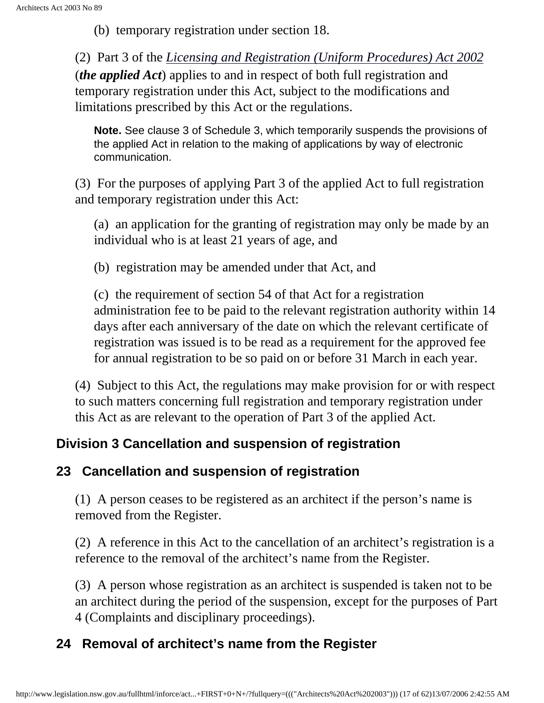(b) temporary registration under section 18.

(2) Part 3 of the *[Licensing and Registration \(Uniform Procedures\) Act 2002](http://www.legislation.nsw.gov.au/summarize/inforce/s/1/?xref=RecordType%3DACTTOC%20AND%20Year%3D2002%20AND%20Actno%3D28&nohits=y)* (*the applied Act*) applies to and in respect of both full registration and temporary registration under this Act, subject to the modifications and limitations prescribed by this Act or the regulations.

**Note.** See clause 3 of Schedule 3, which temporarily suspends the provisions of the applied Act in relation to the making of applications by way of electronic communication.

(3) For the purposes of applying Part 3 of the applied Act to full registration and temporary registration under this Act:

(a) an application for the granting of registration may only be made by an individual who is at least 21 years of age, and

(b) registration may be amended under that Act, and

(c) the requirement of section 54 of that Act for a registration administration fee to be paid to the relevant registration authority within 14 days after each anniversary of the date on which the relevant certificate of registration was issued is to be read as a requirement for the approved fee for annual registration to be so paid on or before 31 March in each year.

(4) Subject to this Act, the regulations may make provision for or with respect to such matters concerning full registration and temporary registration under this Act as are relevant to the operation of Part 3 of the applied Act.

### **Division 3 Cancellation and suspension of registration**

### <span id="page-16-0"></span>**23 Cancellation and suspension of registration**

(1) A person ceases to be registered as an architect if the person's name is removed from the Register.

(2) A reference in this Act to the cancellation of an architect's registration is a reference to the removal of the architect's name from the Register.

(3) A person whose registration as an architect is suspended is taken not to be an architect during the period of the suspension, except for the purposes of Part 4 (Complaints and disciplinary proceedings).

## <span id="page-16-1"></span>**24 Removal of architect's name from the Register**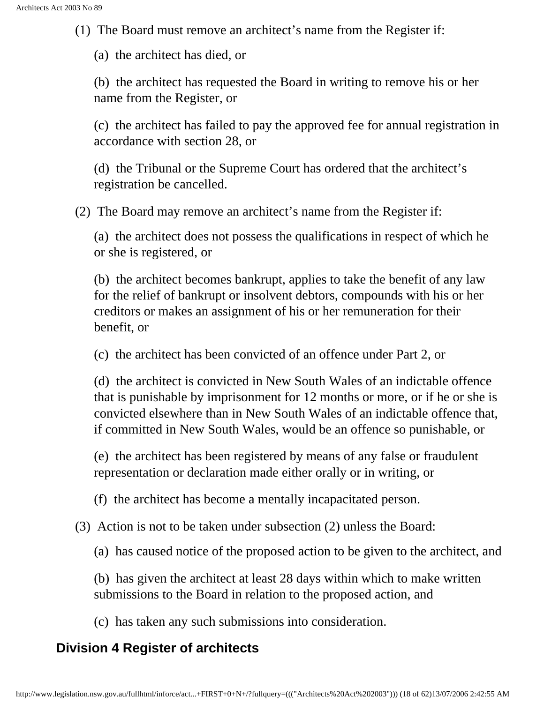(1) The Board must remove an architect's name from the Register if:

(a) the architect has died, or

(b) the architect has requested the Board in writing to remove his or her name from the Register, or

(c) the architect has failed to pay the approved fee for annual registration in accordance with section 28, or

(d) the Tribunal or the Supreme Court has ordered that the architect's registration be cancelled.

(2) The Board may remove an architect's name from the Register if:

(a) the architect does not possess the qualifications in respect of which he or she is registered, or

(b) the architect becomes bankrupt, applies to take the benefit of any law for the relief of bankrupt or insolvent debtors, compounds with his or her creditors or makes an assignment of his or her remuneration for their benefit, or

(c) the architect has been convicted of an offence under Part 2, or

(d) the architect is convicted in New South Wales of an indictable offence that is punishable by imprisonment for 12 months or more, or if he or she is convicted elsewhere than in New South Wales of an indictable offence that, if committed in New South Wales, would be an offence so punishable, or

(e) the architect has been registered by means of any false or fraudulent representation or declaration made either orally or in writing, or

(f) the architect has become a mentally incapacitated person.

(3) Action is not to be taken under subsection (2) unless the Board:

(a) has caused notice of the proposed action to be given to the architect, and

(b) has given the architect at least 28 days within which to make written submissions to the Board in relation to the proposed action, and

(c) has taken any such submissions into consideration.

#### <span id="page-17-1"></span><span id="page-17-0"></span>**Division 4 Register of architects**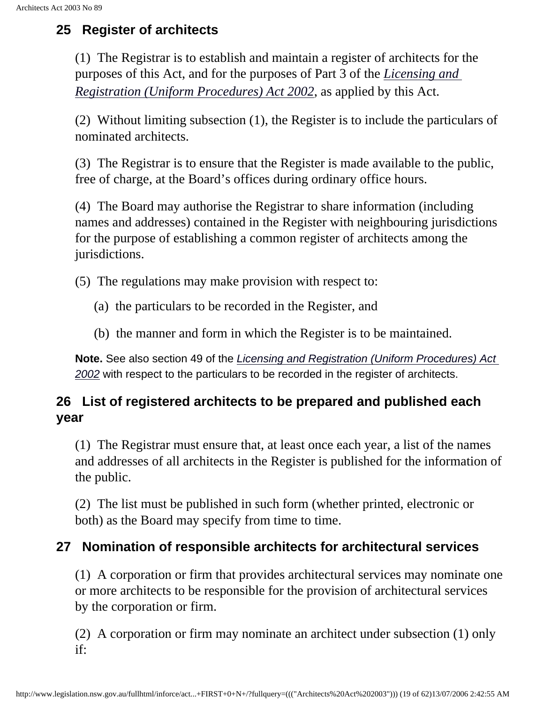## <span id="page-18-0"></span>**25 Register of architects**

(1) The Registrar is to establish and maintain a register of architects for the purposes of this Act, and for the purposes of Part 3 of the *[Licensing and](http://www.legislation.nsw.gov.au/summarize/inforce/s/1/?xref=RecordType%3DACTTOC%20AND%20Year%3D2002%20AND%20Actno%3D28&nohits=y)  [Registration \(Uniform Procedures\) Act 2002](http://www.legislation.nsw.gov.au/summarize/inforce/s/1/?xref=RecordType%3DACTTOC%20AND%20Year%3D2002%20AND%20Actno%3D28&nohits=y)*, as applied by this Act.

(2) Without limiting subsection (1), the Register is to include the particulars of nominated architects.

(3) The Registrar is to ensure that the Register is made available to the public, free of charge, at the Board's offices during ordinary office hours.

(4) The Board may authorise the Registrar to share information (including names and addresses) contained in the Register with neighbouring jurisdictions for the purpose of establishing a common register of architects among the jurisdictions.

(5) The regulations may make provision with respect to:

- (a) the particulars to be recorded in the Register, and
- (b) the manner and form in which the Register is to be maintained.

**Note.** See also section 49 of the *[Licensing and Registration \(Uniform Procedures\) Act](http://www.legislation.nsw.gov.au/summarize/inforce/s/1/?xref=RecordType%3DACTTOC%20AND%20Year%3D2002%20AND%20Actno%3D28&nohits=y) [2002](http://www.legislation.nsw.gov.au/summarize/inforce/s/1/?xref=RecordType%3DACTTOC%20AND%20Year%3D2002%20AND%20Actno%3D28&nohits=y)* with respect to the particulars to be recorded in the register of architects.

### **26 List of registered architects to be prepared and published each year**

(1) The Registrar must ensure that, at least once each year, a list of the names and addresses of all architects in the Register is published for the information of the public.

(2) The list must be published in such form (whether printed, electronic or both) as the Board may specify from time to time.

### <span id="page-18-1"></span>**27 Nomination of responsible architects for architectural services**

(1) A corporation or firm that provides architectural services may nominate one or more architects to be responsible for the provision of architectural services by the corporation or firm.

(2) A corporation or firm may nominate an architect under subsection (1) only if: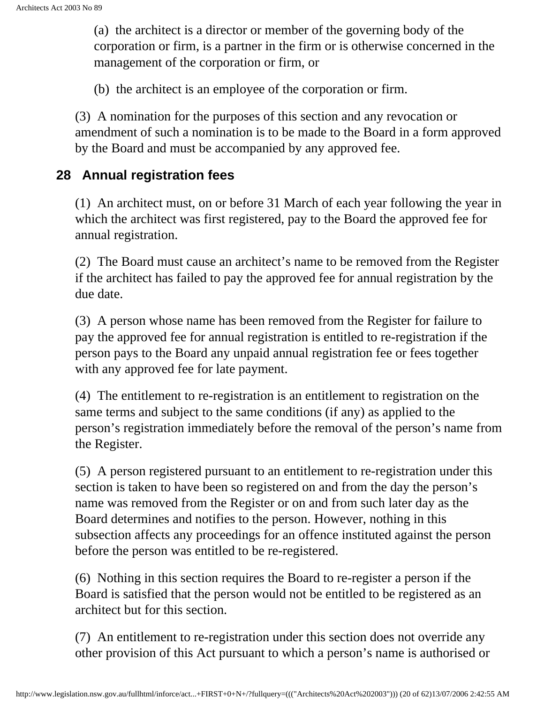(a) the architect is a director or member of the governing body of the corporation or firm, is a partner in the firm or is otherwise concerned in the management of the corporation or firm, or

(b) the architect is an employee of the corporation or firm.

(3) A nomination for the purposes of this section and any revocation or amendment of such a nomination is to be made to the Board in a form approved by the Board and must be accompanied by any approved fee.

#### <span id="page-19-0"></span>**28 Annual registration fees**

(1) An architect must, on or before 31 March of each year following the year in which the architect was first registered, pay to the Board the approved fee for annual registration.

(2) The Board must cause an architect's name to be removed from the Register if the architect has failed to pay the approved fee for annual registration by the due date.

(3) A person whose name has been removed from the Register for failure to pay the approved fee for annual registration is entitled to re-registration if the person pays to the Board any unpaid annual registration fee or fees together with any approved fee for late payment.

(4) The entitlement to re-registration is an entitlement to registration on the same terms and subject to the same conditions (if any) as applied to the person's registration immediately before the removal of the person's name from the Register.

(5) A person registered pursuant to an entitlement to re-registration under this section is taken to have been so registered on and from the day the person's name was removed from the Register or on and from such later day as the Board determines and notifies to the person. However, nothing in this subsection affects any proceedings for an offence instituted against the person before the person was entitled to be re-registered.

(6) Nothing in this section requires the Board to re-register a person if the Board is satisfied that the person would not be entitled to be registered as an architect but for this section.

(7) An entitlement to re-registration under this section does not override any other provision of this Act pursuant to which a person's name is authorised or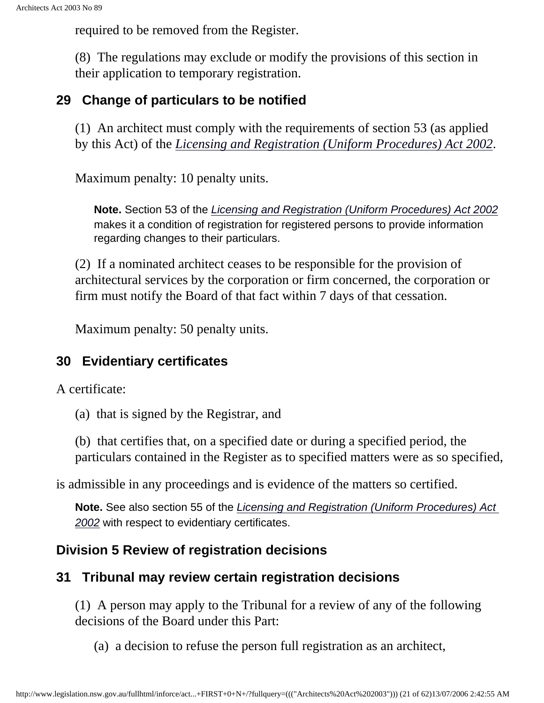required to be removed from the Register.

(8) The regulations may exclude or modify the provisions of this section in their application to temporary registration.

#### <span id="page-20-1"></span><span id="page-20-0"></span>**29 Change of particulars to be notified**

(1) An architect must comply with the requirements of section 53 (as applied by this Act) of the *[Licensing and Registration \(Uniform Procedures\) Act 2002](http://www.legislation.nsw.gov.au/summarize/inforce/s/1/?xref=RecordType%3DACTTOC%20AND%20Year%3D2002%20AND%20Actno%3D28&nohits=y)*.

Maximum penalty: 10 penalty units.

**Note.** Section 53 of the *[Licensing and Registration \(Uniform Procedures\) Act 2002](http://www.legislation.nsw.gov.au/summarize/inforce/s/1/?xref=RecordType%3DACTTOC%20AND%20Year%3D2002%20AND%20Actno%3D28&nohits=y)* makes it a condition of registration for registered persons to provide information regarding changes to their particulars.

(2) If a nominated architect ceases to be responsible for the provision of architectural services by the corporation or firm concerned, the corporation or firm must notify the Board of that fact within 7 days of that cessation.

Maximum penalty: 50 penalty units.

#### **30 Evidentiary certificates**

A certificate:

(a) that is signed by the Registrar, and

(b) that certifies that, on a specified date or during a specified period, the particulars contained in the Register as to specified matters were as so specified,

<span id="page-20-2"></span>is admissible in any proceedings and is evidence of the matters so certified.

**Note.** See also section 55 of the *[Licensing and Registration \(Uniform Procedures\) Act](http://www.legislation.nsw.gov.au/summarize/inforce/s/1/?xref=RecordType%3DACTTOC%20AND%20Year%3D2002%20AND%20Actno%3D28&nohits=y) [2002](http://www.legislation.nsw.gov.au/summarize/inforce/s/1/?xref=RecordType%3DACTTOC%20AND%20Year%3D2002%20AND%20Actno%3D28&nohits=y)* with respect to evidentiary certificates.

#### **Division 5 Review of registration decisions**

### <span id="page-20-3"></span>**31 Tribunal may review certain registration decisions**

(1) A person may apply to the Tribunal for a review of any of the following decisions of the Board under this Part:

(a) a decision to refuse the person full registration as an architect,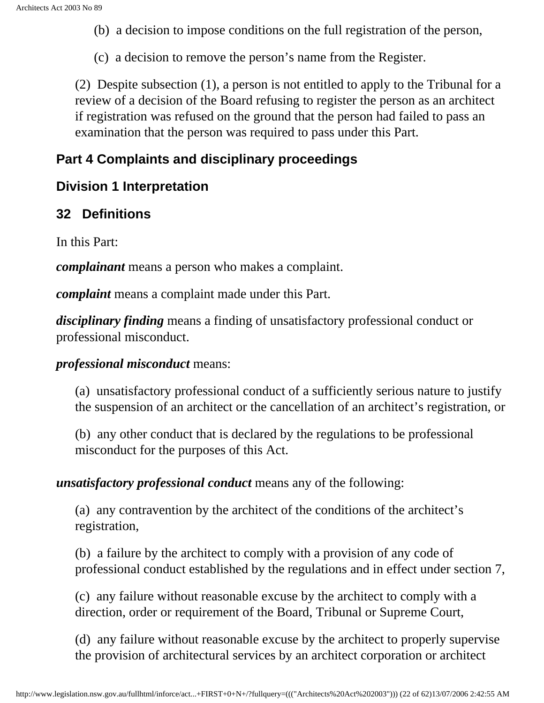(b) a decision to impose conditions on the full registration of the person,

(c) a decision to remove the person's name from the Register.

(2) Despite subsection (1), a person is not entitled to apply to the Tribunal for a review of a decision of the Board refusing to register the person as an architect if registration was refused on the ground that the person had failed to pass an examination that the person was required to pass under this Part.

#### <span id="page-21-0"></span>**Part 4 Complaints and disciplinary proceedings**

#### <span id="page-21-1"></span>**Division 1 Interpretation**

#### <span id="page-21-2"></span>**32 Definitions**

In this Part:

*complainant* means a person who makes a complaint.

*complaint* means a complaint made under this Part.

*disciplinary finding* means a finding of unsatisfactory professional conduct or professional misconduct.

#### *professional misconduct* means:

(a) unsatisfactory professional conduct of a sufficiently serious nature to justify the suspension of an architect or the cancellation of an architect's registration, or

(b) any other conduct that is declared by the regulations to be professional misconduct for the purposes of this Act.

#### *unsatisfactory professional conduct* means any of the following:

(a) any contravention by the architect of the conditions of the architect's registration,

(b) a failure by the architect to comply with a provision of any code of professional conduct established by the regulations and in effect under section 7,

(c) any failure without reasonable excuse by the architect to comply with a direction, order or requirement of the Board, Tribunal or Supreme Court,

(d) any failure without reasonable excuse by the architect to properly supervise the provision of architectural services by an architect corporation or architect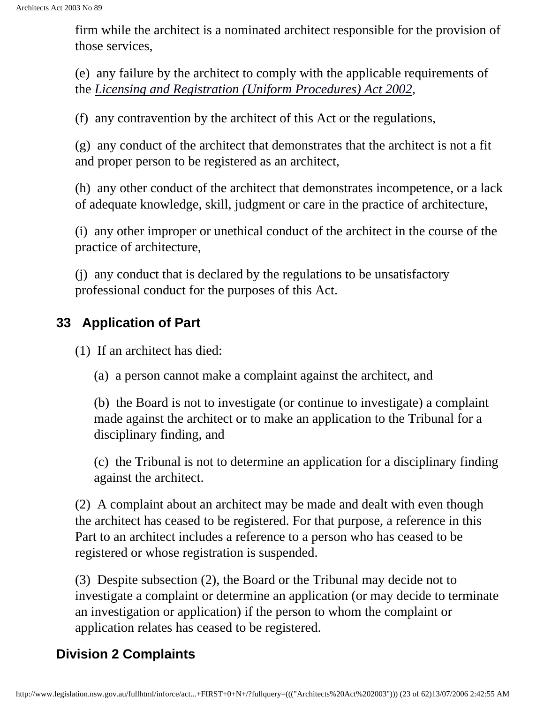firm while the architect is a nominated architect responsible for the provision of those services,

<span id="page-22-0"></span>(e) any failure by the architect to comply with the applicable requirements of the *[Licensing and Registration \(Uniform Procedures\) Act 2002](http://www.legislation.nsw.gov.au/summarize/inforce/s/1/?xref=RecordType%3DACTTOC%20AND%20Year%3D2002%20AND%20Actno%3D28&nohits=y)*,

(f) any contravention by the architect of this Act or the regulations,

(g) any conduct of the architect that demonstrates that the architect is not a fit and proper person to be registered as an architect,

(h) any other conduct of the architect that demonstrates incompetence, or a lack of adequate knowledge, skill, judgment or care in the practice of architecture,

(i) any other improper or unethical conduct of the architect in the course of the practice of architecture,

(j) any conduct that is declared by the regulations to be unsatisfactory professional conduct for the purposes of this Act.

## **33 Application of Part**

(1) If an architect has died:

(a) a person cannot make a complaint against the architect, and

(b) the Board is not to investigate (or continue to investigate) a complaint made against the architect or to make an application to the Tribunal for a disciplinary finding, and

(c) the Tribunal is not to determine an application for a disciplinary finding against the architect.

(2) A complaint about an architect may be made and dealt with even though the architect has ceased to be registered. For that purpose, a reference in this Part to an architect includes a reference to a person who has ceased to be registered or whose registration is suspended.

(3) Despite subsection (2), the Board or the Tribunal may decide not to investigate a complaint or determine an application (or may decide to terminate an investigation or application) if the person to whom the complaint or application relates has ceased to be registered.

## <span id="page-22-1"></span>**Division 2 Complaints**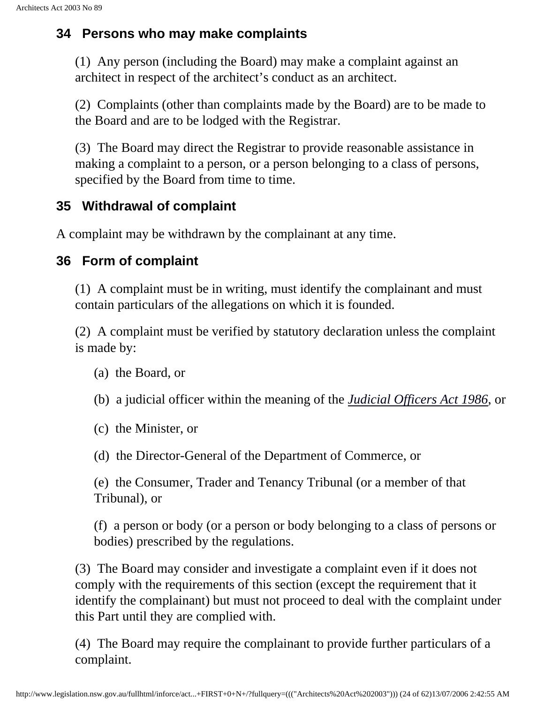#### <span id="page-23-0"></span>**34 Persons who may make complaints**

(1) Any person (including the Board) may make a complaint against an architect in respect of the architect's conduct as an architect.

(2) Complaints (other than complaints made by the Board) are to be made to the Board and are to be lodged with the Registrar.

(3) The Board may direct the Registrar to provide reasonable assistance in making a complaint to a person, or a person belonging to a class of persons, specified by the Board from time to time.

### <span id="page-23-1"></span>**35 Withdrawal of complaint**

A complaint may be withdrawn by the complainant at any time.

### <span id="page-23-2"></span>**36 Form of complaint**

(1) A complaint must be in writing, must identify the complainant and must contain particulars of the allegations on which it is founded.

(2) A complaint must be verified by statutory declaration unless the complaint is made by:

- (a) the Board, or
- <span id="page-23-3"></span>(b) a judicial officer within the meaning of the *[Judicial Officers Act 1986](http://www.legislation.nsw.gov.au/summarize/inforce/s/1/?xref=RecordType%3DACTTOC%20AND%20Year%3D1986%20AND%20Actno%3D100&nohits=y)*, or
- (c) the Minister, or
- (d) the Director-General of the Department of Commerce, or

(e) the Consumer, Trader and Tenancy Tribunal (or a member of that Tribunal), or

(f) a person or body (or a person or body belonging to a class of persons or bodies) prescribed by the regulations.

(3) The Board may consider and investigate a complaint even if it does not comply with the requirements of this section (except the requirement that it identify the complainant) but must not proceed to deal with the complaint under this Part until they are complied with.

(4) The Board may require the complainant to provide further particulars of a complaint.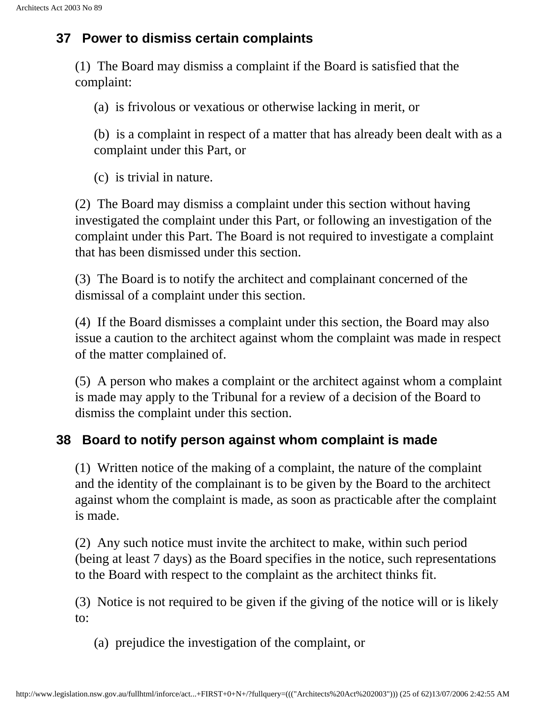#### **37 Power to dismiss certain complaints**

(1) The Board may dismiss a complaint if the Board is satisfied that the complaint:

(a) is frivolous or vexatious or otherwise lacking in merit, or

(b) is a complaint in respect of a matter that has already been dealt with as a complaint under this Part, or

(c) is trivial in nature.

(2) The Board may dismiss a complaint under this section without having investigated the complaint under this Part, or following an investigation of the complaint under this Part. The Board is not required to investigate a complaint that has been dismissed under this section.

(3) The Board is to notify the architect and complainant concerned of the dismissal of a complaint under this section.

(4) If the Board dismisses a complaint under this section, the Board may also issue a caution to the architect against whom the complaint was made in respect of the matter complained of.

(5) A person who makes a complaint or the architect against whom a complaint is made may apply to the Tribunal for a review of a decision of the Board to dismiss the complaint under this section.

## <span id="page-24-0"></span>**38 Board to notify person against whom complaint is made**

(1) Written notice of the making of a complaint, the nature of the complaint and the identity of the complainant is to be given by the Board to the architect against whom the complaint is made, as soon as practicable after the complaint is made.

(2) Any such notice must invite the architect to make, within such period (being at least 7 days) as the Board specifies in the notice, such representations to the Board with respect to the complaint as the architect thinks fit.

(3) Notice is not required to be given if the giving of the notice will or is likely to:

(a) prejudice the investigation of the complaint, or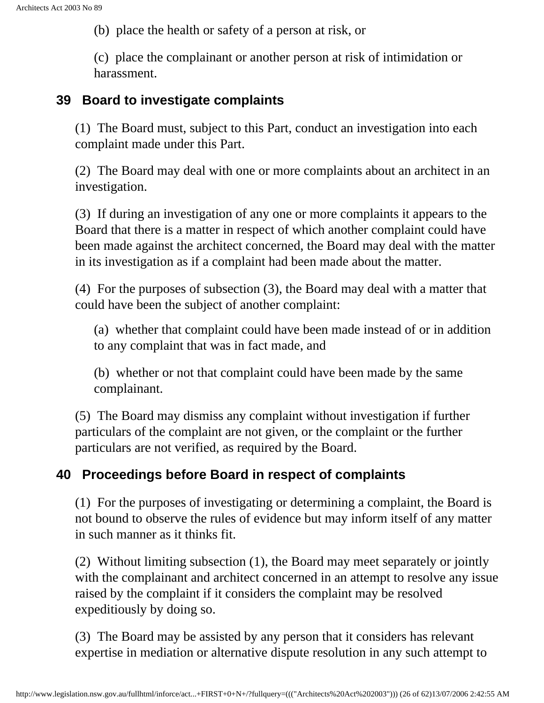(b) place the health or safety of a person at risk, or

(c) place the complainant or another person at risk of intimidation or harassment.

#### <span id="page-25-0"></span>**39 Board to investigate complaints**

(1) The Board must, subject to this Part, conduct an investigation into each complaint made under this Part.

(2) The Board may deal with one or more complaints about an architect in an investigation.

(3) If during an investigation of any one or more complaints it appears to the Board that there is a matter in respect of which another complaint could have been made against the architect concerned, the Board may deal with the matter in its investigation as if a complaint had been made about the matter.

(4) For the purposes of subsection (3), the Board may deal with a matter that could have been the subject of another complaint:

(a) whether that complaint could have been made instead of or in addition to any complaint that was in fact made, and

(b) whether or not that complaint could have been made by the same complainant.

(5) The Board may dismiss any complaint without investigation if further particulars of the complaint are not given, or the complaint or the further particulars are not verified, as required by the Board.

#### <span id="page-25-1"></span>**40 Proceedings before Board in respect of complaints**

(1) For the purposes of investigating or determining a complaint, the Board is not bound to observe the rules of evidence but may inform itself of any matter in such manner as it thinks fit.

(2) Without limiting subsection (1), the Board may meet separately or jointly with the complainant and architect concerned in an attempt to resolve any issue raised by the complaint if it considers the complaint may be resolved expeditiously by doing so.

(3) The Board may be assisted by any person that it considers has relevant expertise in mediation or alternative dispute resolution in any such attempt to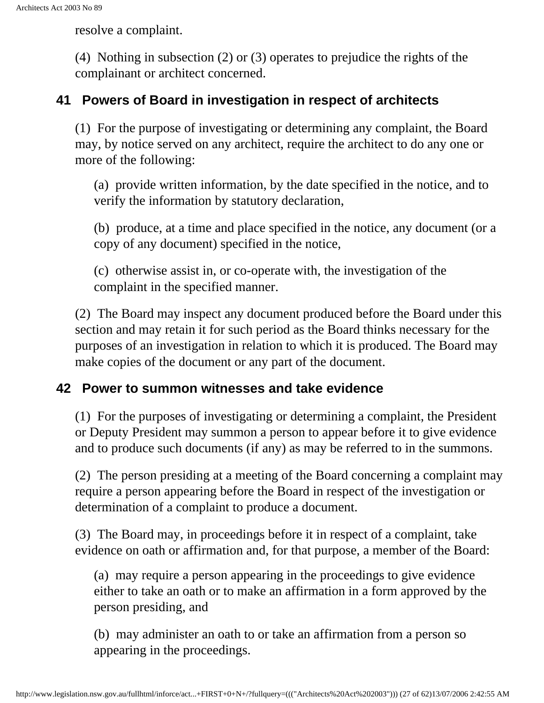resolve a complaint.

(4) Nothing in subsection (2) or (3) operates to prejudice the rights of the complainant or architect concerned.

#### <span id="page-26-0"></span>**41 Powers of Board in investigation in respect of architects**

(1) For the purpose of investigating or determining any complaint, the Board may, by notice served on any architect, require the architect to do any one or more of the following:

(a) provide written information, by the date specified in the notice, and to verify the information by statutory declaration,

(b) produce, at a time and place specified in the notice, any document (or a copy of any document) specified in the notice,

(c) otherwise assist in, or co-operate with, the investigation of the complaint in the specified manner.

(2) The Board may inspect any document produced before the Board under this section and may retain it for such period as the Board thinks necessary for the purposes of an investigation in relation to which it is produced. The Board may make copies of the document or any part of the document.

#### <span id="page-26-1"></span>**42 Power to summon witnesses and take evidence**

(1) For the purposes of investigating or determining a complaint, the President or Deputy President may summon a person to appear before it to give evidence and to produce such documents (if any) as may be referred to in the summons.

(2) The person presiding at a meeting of the Board concerning a complaint may require a person appearing before the Board in respect of the investigation or determination of a complaint to produce a document.

(3) The Board may, in proceedings before it in respect of a complaint, take evidence on oath or affirmation and, for that purpose, a member of the Board:

(a) may require a person appearing in the proceedings to give evidence either to take an oath or to make an affirmation in a form approved by the person presiding, and

(b) may administer an oath to or take an affirmation from a person so appearing in the proceedings.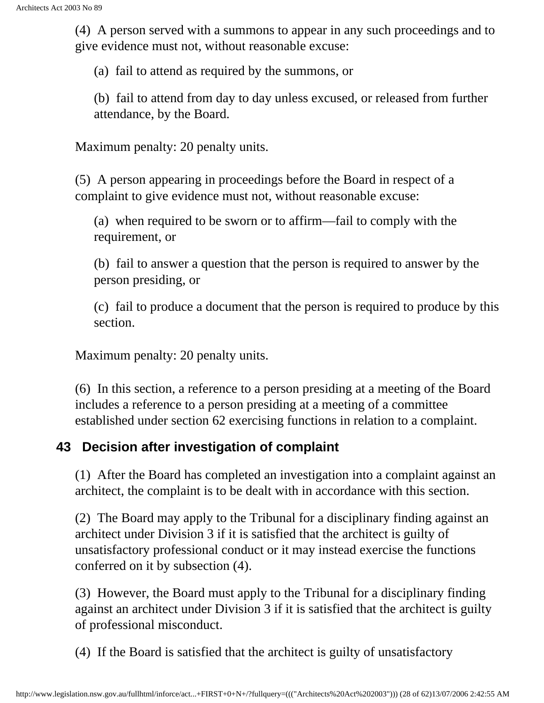(4) A person served with a summons to appear in any such proceedings and to give evidence must not, without reasonable excuse:

(a) fail to attend as required by the summons, or

(b) fail to attend from day to day unless excused, or released from further attendance, by the Board.

Maximum penalty: 20 penalty units.

(5) A person appearing in proceedings before the Board in respect of a complaint to give evidence must not, without reasonable excuse:

(a) when required to be sworn or to affirm—fail to comply with the requirement, or

(b) fail to answer a question that the person is required to answer by the person presiding, or

(c) fail to produce a document that the person is required to produce by this section.

Maximum penalty: 20 penalty units.

(6) In this section, a reference to a person presiding at a meeting of the Board includes a reference to a person presiding at a meeting of a committee established under section 62 exercising functions in relation to a complaint.

#### <span id="page-27-0"></span>**43 Decision after investigation of complaint**

(1) After the Board has completed an investigation into a complaint against an architect, the complaint is to be dealt with in accordance with this section.

(2) The Board may apply to the Tribunal for a disciplinary finding against an architect under Division 3 if it is satisfied that the architect is guilty of unsatisfactory professional conduct or it may instead exercise the functions conferred on it by subsection (4).

(3) However, the Board must apply to the Tribunal for a disciplinary finding against an architect under Division 3 if it is satisfied that the architect is guilty of professional misconduct.

(4) If the Board is satisfied that the architect is guilty of unsatisfactory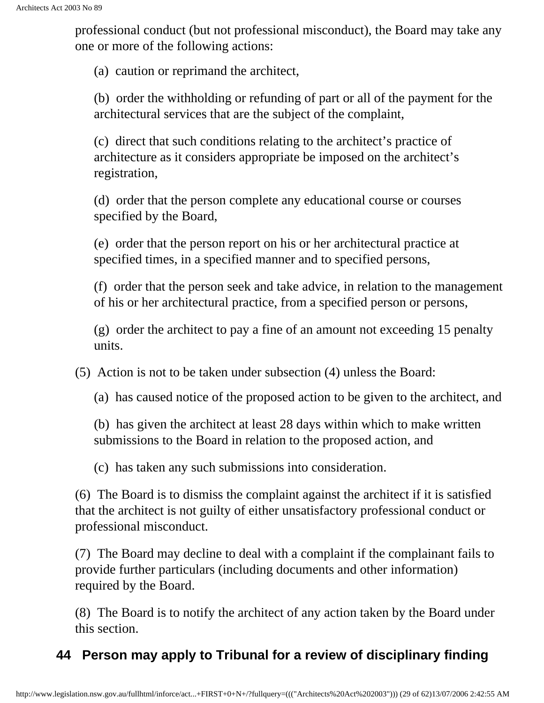professional conduct (but not professional misconduct), the Board may take any one or more of the following actions:

(a) caution or reprimand the architect,

(b) order the withholding or refunding of part or all of the payment for the architectural services that are the subject of the complaint,

(c) direct that such conditions relating to the architect's practice of architecture as it considers appropriate be imposed on the architect's registration,

(d) order that the person complete any educational course or courses specified by the Board,

(e) order that the person report on his or her architectural practice at specified times, in a specified manner and to specified persons,

(f) order that the person seek and take advice, in relation to the management of his or her architectural practice, from a specified person or persons,

(g) order the architect to pay a fine of an amount not exceeding 15 penalty units.

(5) Action is not to be taken under subsection (4) unless the Board:

(a) has caused notice of the proposed action to be given to the architect, and

(b) has given the architect at least 28 days within which to make written submissions to the Board in relation to the proposed action, and

(c) has taken any such submissions into consideration.

(6) The Board is to dismiss the complaint against the architect if it is satisfied that the architect is not guilty of either unsatisfactory professional conduct or professional misconduct.

(7) The Board may decline to deal with a complaint if the complainant fails to provide further particulars (including documents and other information) required by the Board.

(8) The Board is to notify the architect of any action taken by the Board under this section.

### <span id="page-28-0"></span>**44 Person may apply to Tribunal for a review of disciplinary finding**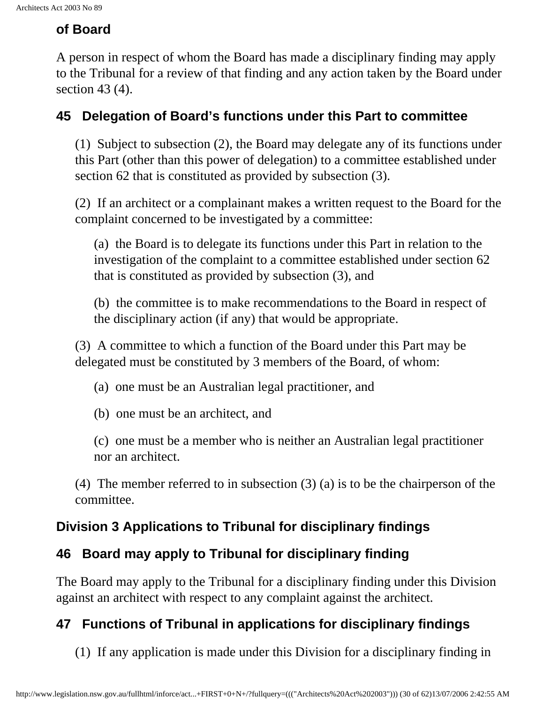## **of Board**

A person in respect of whom the Board has made a disciplinary finding may apply to the Tribunal for a review of that finding and any action taken by the Board under section 43 (4).

### <span id="page-29-0"></span>**45 Delegation of Board's functions under this Part to committee**

(1) Subject to subsection (2), the Board may delegate any of its functions under this Part (other than this power of delegation) to a committee established under section 62 that is constituted as provided by subsection (3).

(2) If an architect or a complainant makes a written request to the Board for the complaint concerned to be investigated by a committee:

(a) the Board is to delegate its functions under this Part in relation to the investigation of the complaint to a committee established under section 62 that is constituted as provided by subsection (3), and

(b) the committee is to make recommendations to the Board in respect of the disciplinary action (if any) that would be appropriate.

(3) A committee to which a function of the Board under this Part may be delegated must be constituted by 3 members of the Board, of whom:

(a) one must be an Australian legal practitioner, and

(b) one must be an architect, and

(c) one must be a member who is neither an Australian legal practitioner nor an architect.

(4) The member referred to in subsection (3) (a) is to be the chairperson of the committee.

## <span id="page-29-1"></span>**Division 3 Applications to Tribunal for disciplinary findings**

## <span id="page-29-2"></span>**46 Board may apply to Tribunal for disciplinary finding**

The Board may apply to the Tribunal for a disciplinary finding under this Division against an architect with respect to any complaint against the architect.

## <span id="page-29-3"></span>**47 Functions of Tribunal in applications for disciplinary findings**

(1) If any application is made under this Division for a disciplinary finding in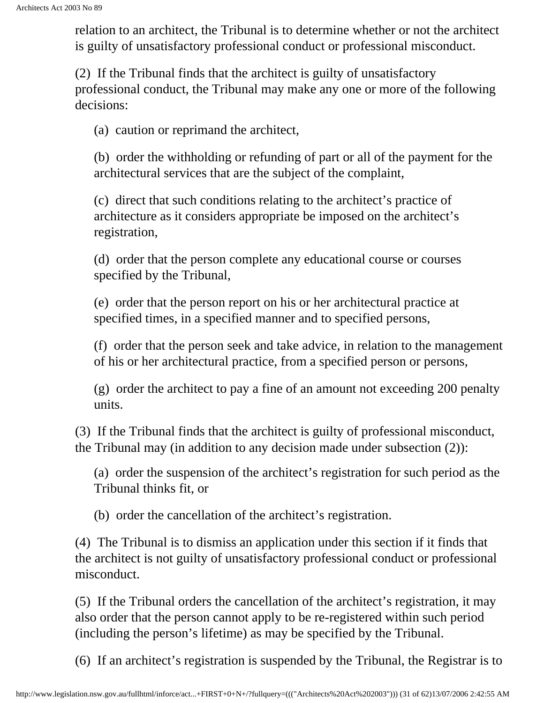relation to an architect, the Tribunal is to determine whether or not the architect is guilty of unsatisfactory professional conduct or professional misconduct.

(2) If the Tribunal finds that the architect is guilty of unsatisfactory professional conduct, the Tribunal may make any one or more of the following decisions:

(a) caution or reprimand the architect,

(b) order the withholding or refunding of part or all of the payment for the architectural services that are the subject of the complaint,

(c) direct that such conditions relating to the architect's practice of architecture as it considers appropriate be imposed on the architect's registration,

(d) order that the person complete any educational course or courses specified by the Tribunal,

(e) order that the person report on his or her architectural practice at specified times, in a specified manner and to specified persons,

(f) order that the person seek and take advice, in relation to the management of his or her architectural practice, from a specified person or persons,

(g) order the architect to pay a fine of an amount not exceeding 200 penalty units.

(3) If the Tribunal finds that the architect is guilty of professional misconduct, the Tribunal may (in addition to any decision made under subsection (2)):

(a) order the suspension of the architect's registration for such period as the Tribunal thinks fit, or

(b) order the cancellation of the architect's registration.

(4) The Tribunal is to dismiss an application under this section if it finds that the architect is not guilty of unsatisfactory professional conduct or professional misconduct.

(5) If the Tribunal orders the cancellation of the architect's registration, it may also order that the person cannot apply to be re-registered within such period (including the person's lifetime) as may be specified by the Tribunal.

(6) If an architect's registration is suspended by the Tribunal, the Registrar is to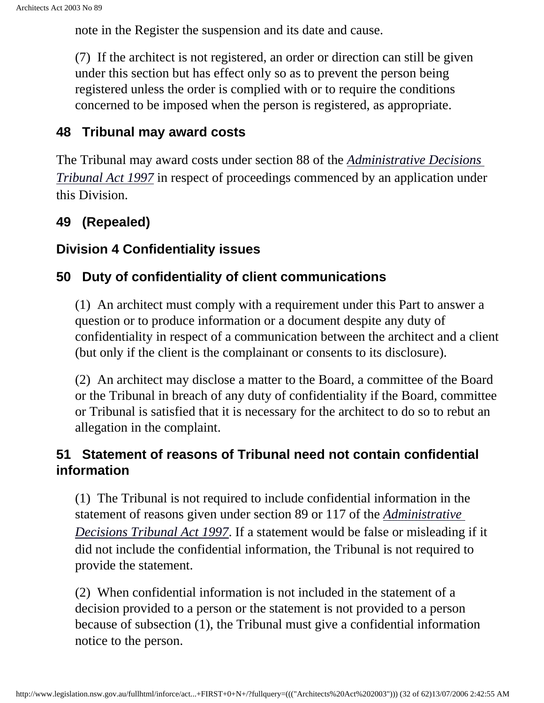note in the Register the suspension and its date and cause.

(7) If the architect is not registered, an order or direction can still be given under this section but has effect only so as to prevent the person being registered unless the order is complied with or to require the conditions concerned to be imposed when the person is registered, as appropriate.

#### <span id="page-31-0"></span>**48 Tribunal may award costs**

<span id="page-31-1"></span>The Tribunal may award costs under section 88 of the *[Administrative Decisions](http://www.legislation.nsw.gov.au/summarize/inforce/s/1/?xref=RecordType%3DACTTOC%20AND%20Year%3D1997%20AND%20Actno%3D76&nohits=y)  [Tribunal Act 1997](http://www.legislation.nsw.gov.au/summarize/inforce/s/1/?xref=RecordType%3DACTTOC%20AND%20Year%3D1997%20AND%20Actno%3D76&nohits=y)* in respect of proceedings commenced by an application under this Division.

### **49 (Repealed)**

#### <span id="page-31-2"></span>**Division 4 Confidentiality issues**

#### <span id="page-31-3"></span>**50 Duty of confidentiality of client communications**

(1) An architect must comply with a requirement under this Part to answer a question or to produce information or a document despite any duty of confidentiality in respect of a communication between the architect and a client (but only if the client is the complainant or consents to its disclosure).

(2) An architect may disclose a matter to the Board, a committee of the Board or the Tribunal in breach of any duty of confidentiality if the Board, committee or Tribunal is satisfied that it is necessary for the architect to do so to rebut an allegation in the complaint.

### <span id="page-31-5"></span><span id="page-31-4"></span>**51 Statement of reasons of Tribunal need not contain confidential information**

(1) The Tribunal is not required to include confidential information in the statement of reasons given under section 89 or 117 of the *[Administrative](http://www.legislation.nsw.gov.au/summarize/inforce/s/1/?xref=RecordType%3DACTTOC%20AND%20Year%3D1997%20AND%20Actno%3D76&nohits=y)  [Decisions Tribunal Act 1997](http://www.legislation.nsw.gov.au/summarize/inforce/s/1/?xref=RecordType%3DACTTOC%20AND%20Year%3D1997%20AND%20Actno%3D76&nohits=y)*. If a statement would be false or misleading if it did not include the confidential information, the Tribunal is not required to provide the statement.

(2) When confidential information is not included in the statement of a decision provided to a person or the statement is not provided to a person because of subsection (1), the Tribunal must give a confidential information notice to the person.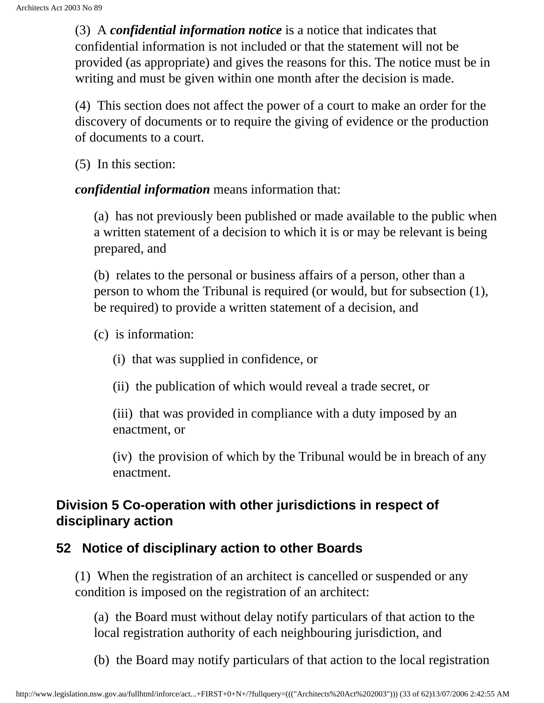(3) A *confidential information notice* is a notice that indicates that confidential information is not included or that the statement will not be provided (as appropriate) and gives the reasons for this. The notice must be in writing and must be given within one month after the decision is made.

(4) This section does not affect the power of a court to make an order for the discovery of documents or to require the giving of evidence or the production of documents to a court.

(5) In this section:

*confidential information* means information that:

(a) has not previously been published or made available to the public when a written statement of a decision to which it is or may be relevant is being prepared, and

(b) relates to the personal or business affairs of a person, other than a person to whom the Tribunal is required (or would, but for subsection (1), be required) to provide a written statement of a decision, and

(c) is information:

- (i) that was supplied in confidence, or
- (ii) the publication of which would reveal a trade secret, or

(iii) that was provided in compliance with a duty imposed by an enactment, or

(iv) the provision of which by the Tribunal would be in breach of any enactment.

#### **Division 5 Co-operation with other jurisdictions in respect of disciplinary action**

#### <span id="page-32-0"></span>**52 Notice of disciplinary action to other Boards**

(1) When the registration of an architect is cancelled or suspended or any condition is imposed on the registration of an architect:

(a) the Board must without delay notify particulars of that action to the local registration authority of each neighbouring jurisdiction, and

(b) the Board may notify particulars of that action to the local registration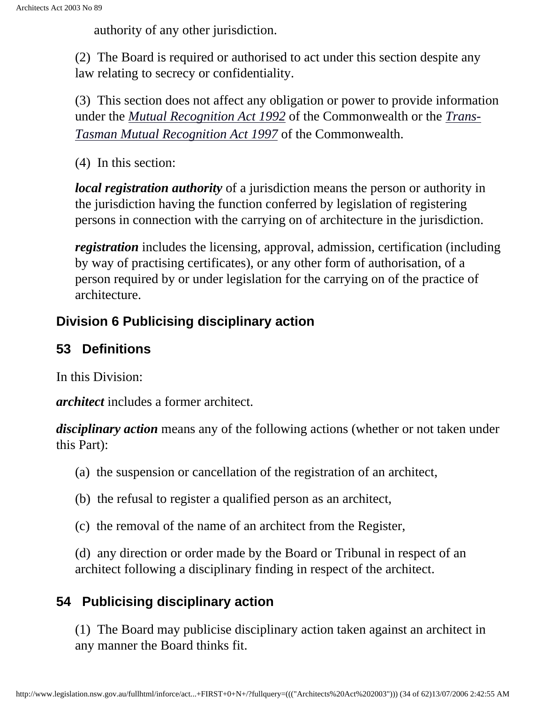authority of any other jurisdiction.

(2) The Board is required or authorised to act under this section despite any law relating to secrecy or confidentiality.

<span id="page-33-0"></span>(3) This section does not affect any obligation or power to provide information under the *[Mutual Recognition Act 1992](http://www.comlaw.gov.au/)* of the Commonwealth or the *[Trans-](http://www.comlaw.gov.au/)[Tasman Mutual Recognition Act 1997](http://www.comlaw.gov.au/)* of the Commonwealth.

(4) In this section:

*local registration authority* of a jurisdiction means the person or authority in the jurisdiction having the function conferred by legislation of registering persons in connection with the carrying on of architecture in the jurisdiction.

*registration* includes the licensing, approval, admission, certification (including by way of practising certificates), or any other form of authorisation, of a person required by or under legislation for the carrying on of the practice of architecture.

## **Division 6 Publicising disciplinary action**

## <span id="page-33-1"></span>**53 Definitions**

In this Division:

*architect* includes a former architect.

*disciplinary action* means any of the following actions (whether or not taken under this Part):

- (a) the suspension or cancellation of the registration of an architect,
- (b) the refusal to register a qualified person as an architect,
- (c) the removal of the name of an architect from the Register,

(d) any direction or order made by the Board or Tribunal in respect of an architect following a disciplinary finding in respect of the architect.

## <span id="page-33-2"></span>**54 Publicising disciplinary action**

(1) The Board may publicise disciplinary action taken against an architect in any manner the Board thinks fit.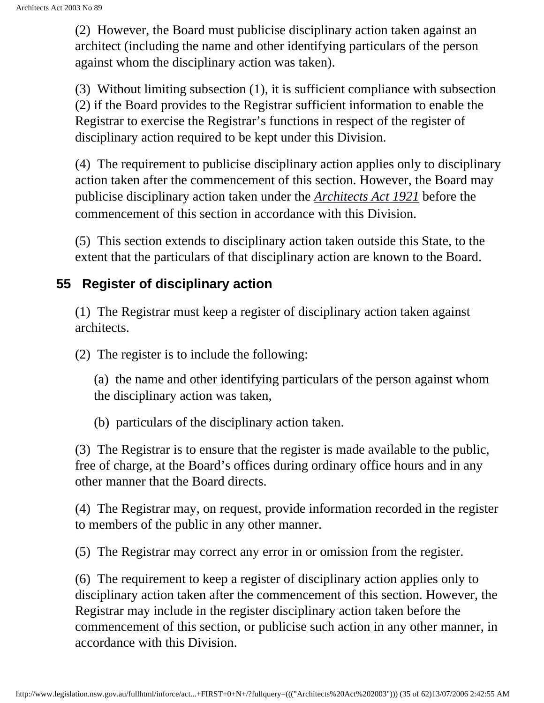(2) However, the Board must publicise disciplinary action taken against an architect (including the name and other identifying particulars of the person against whom the disciplinary action was taken).

(3) Without limiting subsection (1), it is sufficient compliance with subsection (2) if the Board provides to the Registrar sufficient information to enable the Registrar to exercise the Registrar's functions in respect of the register of disciplinary action required to be kept under this Division.

<span id="page-34-0"></span>(4) The requirement to publicise disciplinary action applies only to disciplinary action taken after the commencement of this section. However, the Board may publicise disciplinary action taken under the *[Architects Act 1921](http://www.legislation.nsw.gov.au/summarize/inforce/s/1/?xref=RecordType%3DACTTOC%20AND%20Year%3D1921%20AND%20Actno%3D8&nohits=y)* before the commencement of this section in accordance with this Division.

(5) This section extends to disciplinary action taken outside this State, to the extent that the particulars of that disciplinary action are known to the Board.

#### **55 Register of disciplinary action**

(1) The Registrar must keep a register of disciplinary action taken against architects.

(2) The register is to include the following:

(a) the name and other identifying particulars of the person against whom the disciplinary action was taken,

(b) particulars of the disciplinary action taken.

(3) The Registrar is to ensure that the register is made available to the public, free of charge, at the Board's offices during ordinary office hours and in any other manner that the Board directs.

(4) The Registrar may, on request, provide information recorded in the register to members of the public in any other manner.

(5) The Registrar may correct any error in or omission from the register.

(6) The requirement to keep a register of disciplinary action applies only to disciplinary action taken after the commencement of this section. However, the Registrar may include in the register disciplinary action taken before the commencement of this section, or publicise such action in any other manner, in accordance with this Division.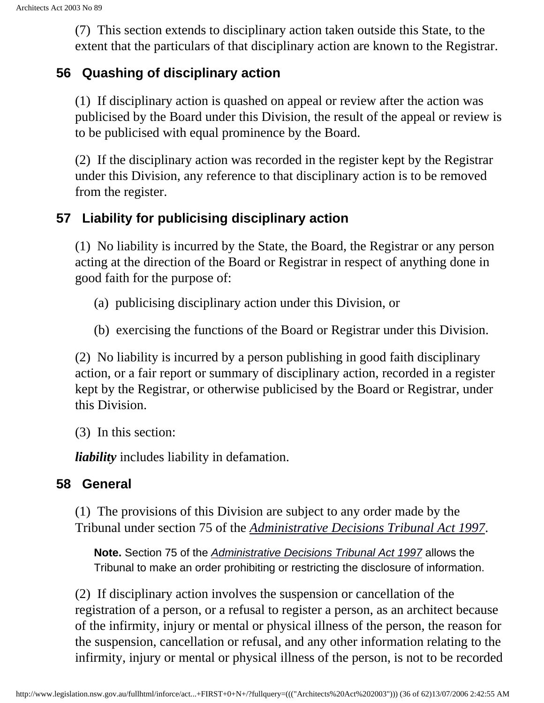(7) This section extends to disciplinary action taken outside this State, to the extent that the particulars of that disciplinary action are known to the Registrar.

#### <span id="page-35-0"></span>**56 Quashing of disciplinary action**

(1) If disciplinary action is quashed on appeal or review after the action was publicised by the Board under this Division, the result of the appeal or review is to be publicised with equal prominence by the Board.

(2) If the disciplinary action was recorded in the register kept by the Registrar under this Division, any reference to that disciplinary action is to be removed from the register.

#### <span id="page-35-1"></span>**57 Liability for publicising disciplinary action**

(1) No liability is incurred by the State, the Board, the Registrar or any person acting at the direction of the Board or Registrar in respect of anything done in good faith for the purpose of:

- (a) publicising disciplinary action under this Division, or
- (b) exercising the functions of the Board or Registrar under this Division.

(2) No liability is incurred by a person publishing in good faith disciplinary action, or a fair report or summary of disciplinary action, recorded in a register kept by the Registrar, or otherwise publicised by the Board or Registrar, under this Division.

(3) In this section:

*liability* includes liability in defamation.

#### <span id="page-35-3"></span><span id="page-35-2"></span>**58 General**

(1) The provisions of this Division are subject to any order made by the Tribunal under section 75 of the *[Administrative Decisions Tribunal Act 1997](http://www.legislation.nsw.gov.au/summarize/inforce/s/1/?xref=RecordType%3DACTTOC%20AND%20Year%3D1997%20AND%20Actno%3D76&nohits=y)*.

**Note.** Section 75 of the *[Administrative Decisions Tribunal Act 1997](http://www.legislation.nsw.gov.au/summarize/inforce/s/1/?xref=RecordType%3DACTTOC%20AND%20Year%3D1997%20AND%20Actno%3D76&nohits=y)* allows the Tribunal to make an order prohibiting or restricting the disclosure of information.

(2) If disciplinary action involves the suspension or cancellation of the registration of a person, or a refusal to register a person, as an architect because of the infirmity, injury or mental or physical illness of the person, the reason for the suspension, cancellation or refusal, and any other information relating to the infirmity, injury or mental or physical illness of the person, is not to be recorded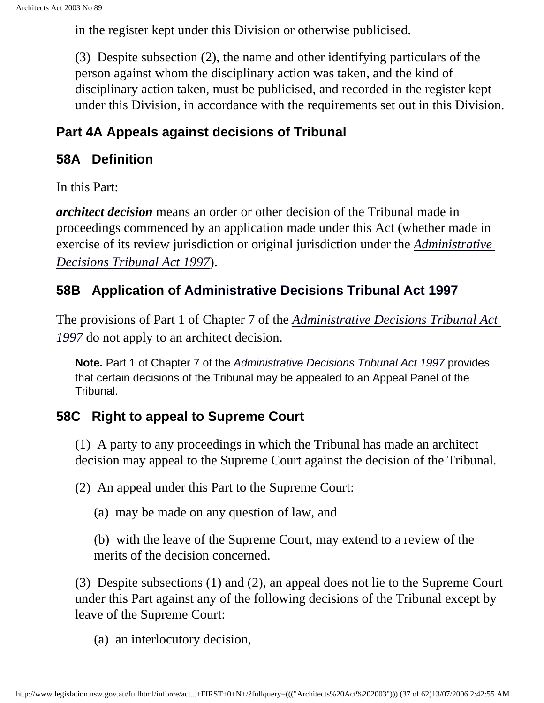in the register kept under this Division or otherwise publicised.

(3) Despite subsection (2), the name and other identifying particulars of the person against whom the disciplinary action was taken, and the kind of disciplinary action taken, must be publicised, and recorded in the register kept under this Division, in accordance with the requirements set out in this Division.

#### **Part 4A Appeals against decisions of Tribunal**

#### <span id="page-36-0"></span>**58A Definition**

In this Part:

<span id="page-36-1"></span>*architect decision* means an order or other decision of the Tribunal made in proceedings commenced by an application made under this Act (whether made in exercise of its review jurisdiction or original jurisdiction under the *[Administrative](http://www.legislation.nsw.gov.au/summarize/inforce/s/1/?xref=RecordType%3DACTTOC%20AND%20Year%3D1997%20AND%20Actno%3D76&nohits=y) [Decisions Tribunal Act 1997](http://www.legislation.nsw.gov.au/summarize/inforce/s/1/?xref=RecordType%3DACTTOC%20AND%20Year%3D1997%20AND%20Actno%3D76&nohits=y)*).

## <span id="page-36-2"></span>**58B Application of [Administrative Decisions Tribunal Act 1997](http://www.legislation.nsw.gov.au/summarize/inforce/s/1/?xref=RecordType%3DACTTOC%20AND%20Year%3D1997%20AND%20Actno%3D76&nohits=y)**

The provisions of Part 1 of Chapter 7 of the *[Administrative Decisions Tribunal Act](http://www.legislation.nsw.gov.au/summarize/inforce/s/1/?xref=RecordType%3DACTTOC%20AND%20Year%3D1997%20AND%20Actno%3D76&nohits=y) [1997](http://www.legislation.nsw.gov.au/summarize/inforce/s/1/?xref=RecordType%3DACTTOC%20AND%20Year%3D1997%20AND%20Actno%3D76&nohits=y)* do not apply to an architect decision.

**Note.** Part 1 of Chapter 7 of the *[Administrative Decisions Tribunal Act 1997](http://www.legislation.nsw.gov.au/summarize/inforce/s/1/?xref=RecordType%3DACTTOC%20AND%20Year%3D1997%20AND%20Actno%3D76&nohits=y)* provides that certain decisions of the Tribunal may be appealed to an Appeal Panel of the Tribunal.

### **58C Right to appeal to Supreme Court**

(1) A party to any proceedings in which the Tribunal has made an architect decision may appeal to the Supreme Court against the decision of the Tribunal.

(2) An appeal under this Part to the Supreme Court:

(a) may be made on any question of law, and

(b) with the leave of the Supreme Court, may extend to a review of the merits of the decision concerned.

(3) Despite subsections (1) and (2), an appeal does not lie to the Supreme Court under this Part against any of the following decisions of the Tribunal except by leave of the Supreme Court:

(a) an interlocutory decision,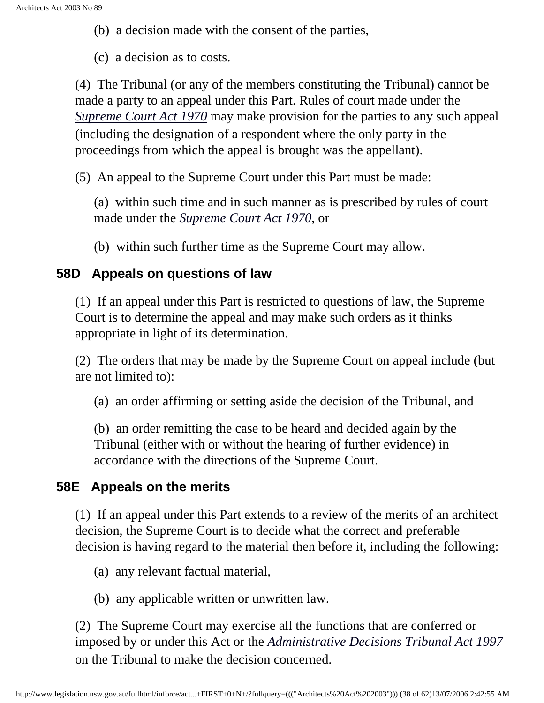(b) a decision made with the consent of the parties,

(c) a decision as to costs.

<span id="page-37-0"></span>(4) The Tribunal (or any of the members constituting the Tribunal) cannot be made a party to an appeal under this Part. Rules of court made under the *[Supreme Court Act 1970](http://www.legislation.nsw.gov.au/summarize/inforce/s/1/?xref=RecordType%3DACTTOC%20AND%20Year%3D1970%20AND%20Actno%3D52&nohits=y)* may make provision for the parties to any such appeal (including the designation of a respondent where the only party in the proceedings from which the appeal is brought was the appellant).

(5) An appeal to the Supreme Court under this Part must be made:

(a) within such time and in such manner as is prescribed by rules of court made under the *[Supreme Court Act 1970](http://www.legislation.nsw.gov.au/summarize/inforce/s/1/?xref=RecordType%3DACTTOC%20AND%20Year%3D1970%20AND%20Actno%3D52&nohits=y)*, or

(b) within such further time as the Supreme Court may allow.

#### **58D Appeals on questions of law**

(1) If an appeal under this Part is restricted to questions of law, the Supreme Court is to determine the appeal and may make such orders as it thinks appropriate in light of its determination.

(2) The orders that may be made by the Supreme Court on appeal include (but are not limited to):

(a) an order affirming or setting aside the decision of the Tribunal, and

(b) an order remitting the case to be heard and decided again by the Tribunal (either with or without the hearing of further evidence) in accordance with the directions of the Supreme Court.

#### <span id="page-37-1"></span>**58E Appeals on the merits**

(1) If an appeal under this Part extends to a review of the merits of an architect decision, the Supreme Court is to decide what the correct and preferable decision is having regard to the material then before it, including the following:

- (a) any relevant factual material,
- (b) any applicable written or unwritten law.

<span id="page-37-2"></span>(2) The Supreme Court may exercise all the functions that are conferred or imposed by or under this Act or the *[Administrative Decisions Tribunal Act 1997](http://www.legislation.nsw.gov.au/summarize/inforce/s/1/?xref=RecordType%3DACTTOC%20AND%20Year%3D1997%20AND%20Actno%3D76&nohits=y)* on the Tribunal to make the decision concerned.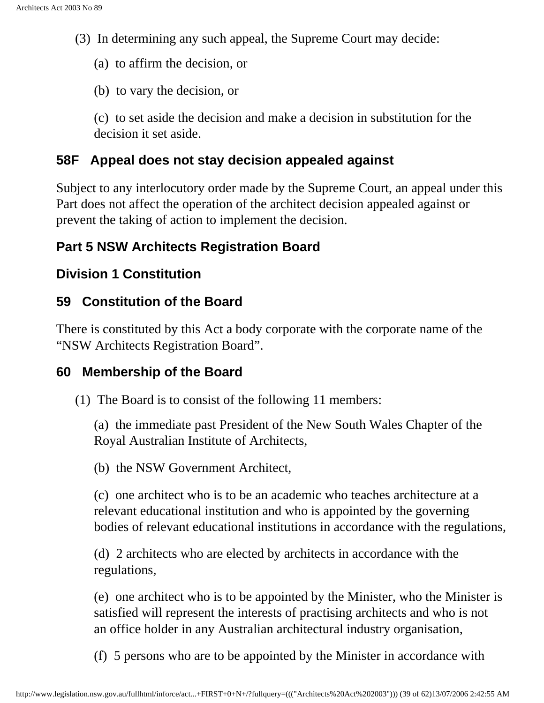(3) In determining any such appeal, the Supreme Court may decide:

(a) to affirm the decision, or

(b) to vary the decision, or

(c) to set aside the decision and make a decision in substitution for the decision it set aside.

#### **58F Appeal does not stay decision appealed against**

Subject to any interlocutory order made by the Supreme Court, an appeal under this Part does not affect the operation of the architect decision appealed against or prevent the taking of action to implement the decision.

## <span id="page-38-0"></span>**Part 5 NSW Architects Registration Board**

### <span id="page-38-1"></span>**Division 1 Constitution**

## <span id="page-38-2"></span>**59 Constitution of the Board**

There is constituted by this Act a body corporate with the corporate name of the "NSW Architects Registration Board".

### <span id="page-38-3"></span>**60 Membership of the Board**

(1) The Board is to consist of the following 11 members:

(a) the immediate past President of the New South Wales Chapter of the Royal Australian Institute of Architects,

(b) the NSW Government Architect,

(c) one architect who is to be an academic who teaches architecture at a relevant educational institution and who is appointed by the governing bodies of relevant educational institutions in accordance with the regulations,

(d) 2 architects who are elected by architects in accordance with the regulations,

(e) one architect who is to be appointed by the Minister, who the Minister is satisfied will represent the interests of practising architects and who is not an office holder in any Australian architectural industry organisation,

(f) 5 persons who are to be appointed by the Minister in accordance with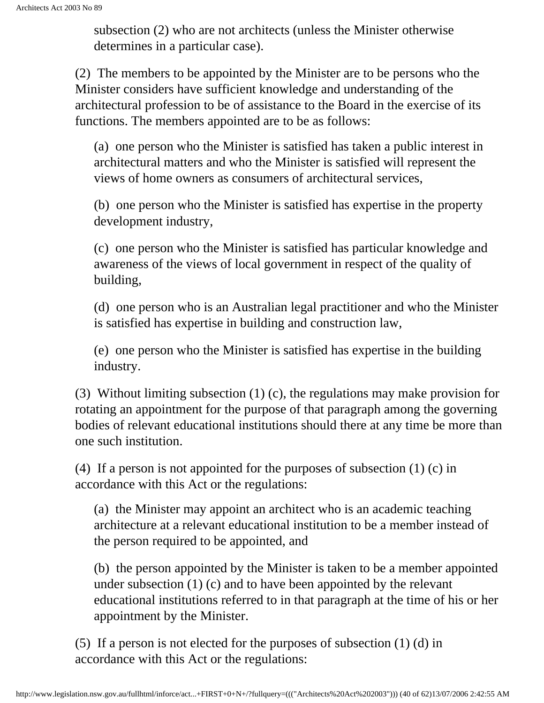subsection (2) who are not architects (unless the Minister otherwise determines in a particular case).

(2) The members to be appointed by the Minister are to be persons who the Minister considers have sufficient knowledge and understanding of the architectural profession to be of assistance to the Board in the exercise of its functions. The members appointed are to be as follows:

(a) one person who the Minister is satisfied has taken a public interest in architectural matters and who the Minister is satisfied will represent the views of home owners as consumers of architectural services,

(b) one person who the Minister is satisfied has expertise in the property development industry,

(c) one person who the Minister is satisfied has particular knowledge and awareness of the views of local government in respect of the quality of building,

(d) one person who is an Australian legal practitioner and who the Minister is satisfied has expertise in building and construction law,

(e) one person who the Minister is satisfied has expertise in the building industry.

(3) Without limiting subsection (1) (c), the regulations may make provision for rotating an appointment for the purpose of that paragraph among the governing bodies of relevant educational institutions should there at any time be more than one such institution.

(4) If a person is not appointed for the purposes of subsection (1) (c) in accordance with this Act or the regulations:

(a) the Minister may appoint an architect who is an academic teaching architecture at a relevant educational institution to be a member instead of the person required to be appointed, and

(b) the person appointed by the Minister is taken to be a member appointed under subsection (1) (c) and to have been appointed by the relevant educational institutions referred to in that paragraph at the time of his or her appointment by the Minister.

(5) If a person is not elected for the purposes of subsection (1) (d) in accordance with this Act or the regulations: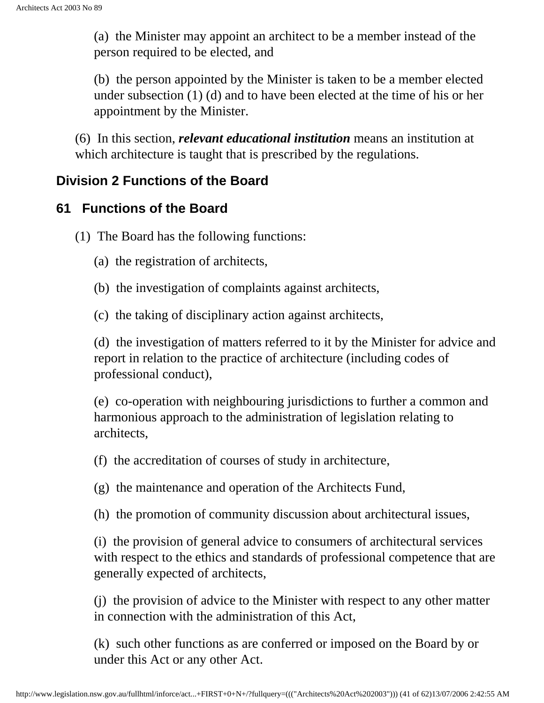(a) the Minister may appoint an architect to be a member instead of the person required to be elected, and

(b) the person appointed by the Minister is taken to be a member elected under subsection (1) (d) and to have been elected at the time of his or her appointment by the Minister.

(6) In this section, *relevant educational institution* means an institution at which architecture is taught that is prescribed by the regulations.

#### <span id="page-40-0"></span>**Division 2 Functions of the Board**

#### <span id="page-40-1"></span>**61 Functions of the Board**

(1) The Board has the following functions:

- (a) the registration of architects,
- (b) the investigation of complaints against architects,
- (c) the taking of disciplinary action against architects,

(d) the investigation of matters referred to it by the Minister for advice and report in relation to the practice of architecture (including codes of professional conduct),

(e) co-operation with neighbouring jurisdictions to further a common and harmonious approach to the administration of legislation relating to architects,

- (f) the accreditation of courses of study in architecture,
- (g) the maintenance and operation of the Architects Fund,
- (h) the promotion of community discussion about architectural issues,

(i) the provision of general advice to consumers of architectural services with respect to the ethics and standards of professional competence that are generally expected of architects,

(j) the provision of advice to the Minister with respect to any other matter in connection with the administration of this Act,

(k) such other functions as are conferred or imposed on the Board by or under this Act or any other Act.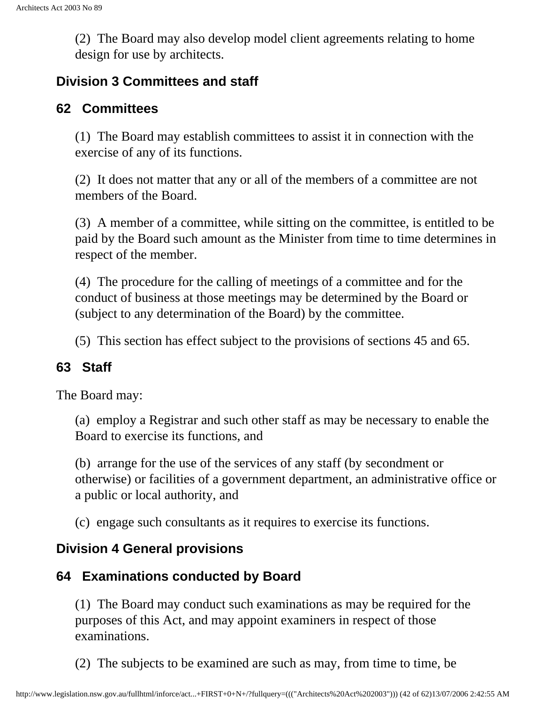(2) The Board may also develop model client agreements relating to home design for use by architects.

#### <span id="page-41-0"></span>**Division 3 Committees and staff**

#### <span id="page-41-1"></span>**62 Committees**

(1) The Board may establish committees to assist it in connection with the exercise of any of its functions.

(2) It does not matter that any or all of the members of a committee are not members of the Board.

(3) A member of a committee, while sitting on the committee, is entitled to be paid by the Board such amount as the Minister from time to time determines in respect of the member.

(4) The procedure for the calling of meetings of a committee and for the conduct of business at those meetings may be determined by the Board or (subject to any determination of the Board) by the committee.

(5) This section has effect subject to the provisions of sections 45 and 65.

### <span id="page-41-2"></span>**63 Staff**

The Board may:

(a) employ a Registrar and such other staff as may be necessary to enable the Board to exercise its functions, and

(b) arrange for the use of the services of any staff (by secondment or otherwise) or facilities of a government department, an administrative office or a public or local authority, and

(c) engage such consultants as it requires to exercise its functions.

### <span id="page-41-3"></span>**Division 4 General provisions**

### <span id="page-41-4"></span>**64 Examinations conducted by Board**

(1) The Board may conduct such examinations as may be required for the purposes of this Act, and may appoint examiners in respect of those examinations.

(2) The subjects to be examined are such as may, from time to time, be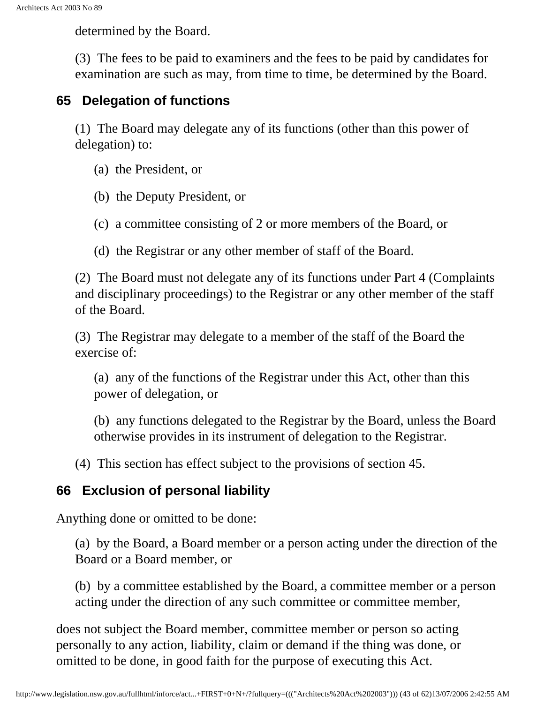determined by the Board.

(3) The fees to be paid to examiners and the fees to be paid by candidates for examination are such as may, from time to time, be determined by the Board.

#### <span id="page-42-0"></span>**65 Delegation of functions**

(1) The Board may delegate any of its functions (other than this power of delegation) to:

- (a) the President, or
- (b) the Deputy President, or
- (c) a committee consisting of 2 or more members of the Board, or
- (d) the Registrar or any other member of staff of the Board.

(2) The Board must not delegate any of its functions under Part 4 (Complaints and disciplinary proceedings) to the Registrar or any other member of the staff of the Board.

(3) The Registrar may delegate to a member of the staff of the Board the exercise of:

(a) any of the functions of the Registrar under this Act, other than this power of delegation, or

(b) any functions delegated to the Registrar by the Board, unless the Board otherwise provides in its instrument of delegation to the Registrar.

(4) This section has effect subject to the provisions of section 45.

### <span id="page-42-1"></span>**66 Exclusion of personal liability**

Anything done or omitted to be done:

(a) by the Board, a Board member or a person acting under the direction of the Board or a Board member, or

(b) by a committee established by the Board, a committee member or a person acting under the direction of any such committee or committee member,

does not subject the Board member, committee member or person so acting personally to any action, liability, claim or demand if the thing was done, or omitted to be done, in good faith for the purpose of executing this Act.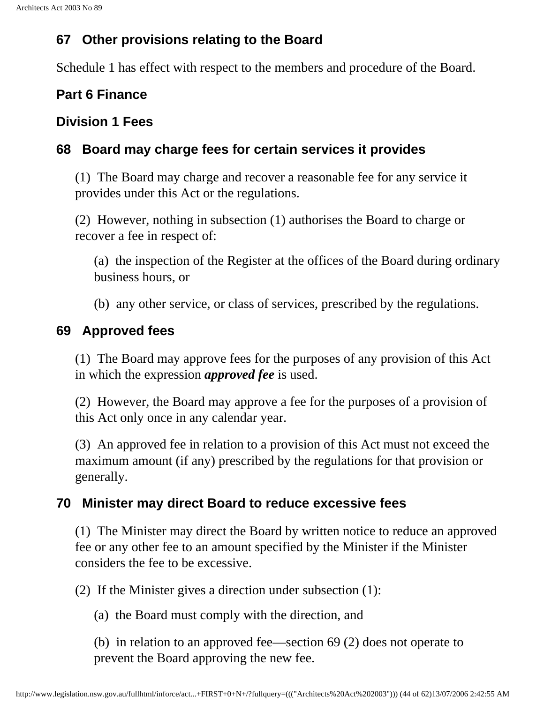### <span id="page-43-0"></span>**67 Other provisions relating to the Board**

Schedule 1 has effect with respect to the members and procedure of the Board.

### <span id="page-43-1"></span>**Part 6 Finance**

#### <span id="page-43-2"></span>**Division 1 Fees**

#### <span id="page-43-3"></span>**68 Board may charge fees for certain services it provides**

(1) The Board may charge and recover a reasonable fee for any service it provides under this Act or the regulations.

(2) However, nothing in subsection (1) authorises the Board to charge or recover a fee in respect of:

(a) the inspection of the Register at the offices of the Board during ordinary business hours, or

(b) any other service, or class of services, prescribed by the regulations.

#### <span id="page-43-4"></span>**69 Approved fees**

(1) The Board may approve fees for the purposes of any provision of this Act in which the expression *approved fee* is used.

(2) However, the Board may approve a fee for the purposes of a provision of this Act only once in any calendar year.

(3) An approved fee in relation to a provision of this Act must not exceed the maximum amount (if any) prescribed by the regulations for that provision or generally.

#### <span id="page-43-5"></span>**70 Minister may direct Board to reduce excessive fees**

(1) The Minister may direct the Board by written notice to reduce an approved fee or any other fee to an amount specified by the Minister if the Minister considers the fee to be excessive.

(2) If the Minister gives a direction under subsection (1):

(a) the Board must comply with the direction, and

(b) in relation to an approved fee—section 69 (2) does not operate to prevent the Board approving the new fee.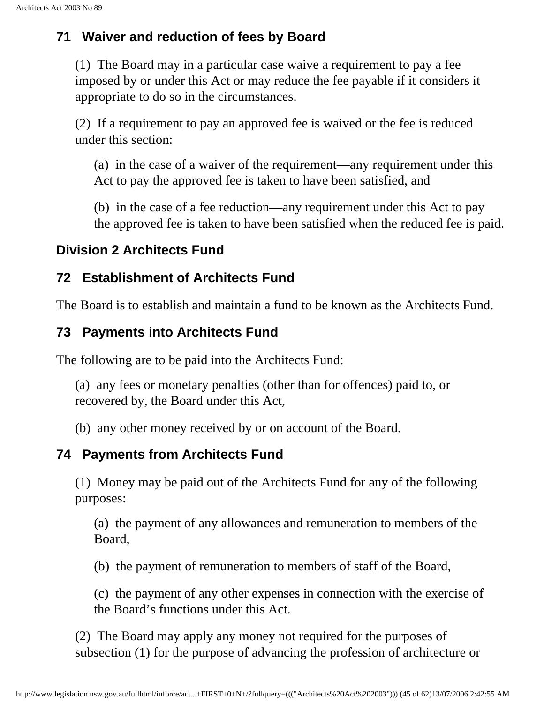#### <span id="page-44-0"></span>**71 Waiver and reduction of fees by Board**

(1) The Board may in a particular case waive a requirement to pay a fee imposed by or under this Act or may reduce the fee payable if it considers it appropriate to do so in the circumstances.

(2) If a requirement to pay an approved fee is waived or the fee is reduced under this section:

(a) in the case of a waiver of the requirement—any requirement under this Act to pay the approved fee is taken to have been satisfied, and

(b) in the case of a fee reduction—any requirement under this Act to pay the approved fee is taken to have been satisfied when the reduced fee is paid.

#### <span id="page-44-1"></span>**Division 2 Architects Fund**

#### <span id="page-44-2"></span>**72 Establishment of Architects Fund**

The Board is to establish and maintain a fund to be known as the Architects Fund.

#### <span id="page-44-3"></span>**73 Payments into Architects Fund**

The following are to be paid into the Architects Fund:

(a) any fees or monetary penalties (other than for offences) paid to, or recovered by, the Board under this Act,

(b) any other money received by or on account of the Board.

#### <span id="page-44-4"></span>**74 Payments from Architects Fund**

(1) Money may be paid out of the Architects Fund for any of the following purposes:

(a) the payment of any allowances and remuneration to members of the Board,

(b) the payment of remuneration to members of staff of the Board,

(c) the payment of any other expenses in connection with the exercise of the Board's functions under this Act.

(2) The Board may apply any money not required for the purposes of subsection (1) for the purpose of advancing the profession of architecture or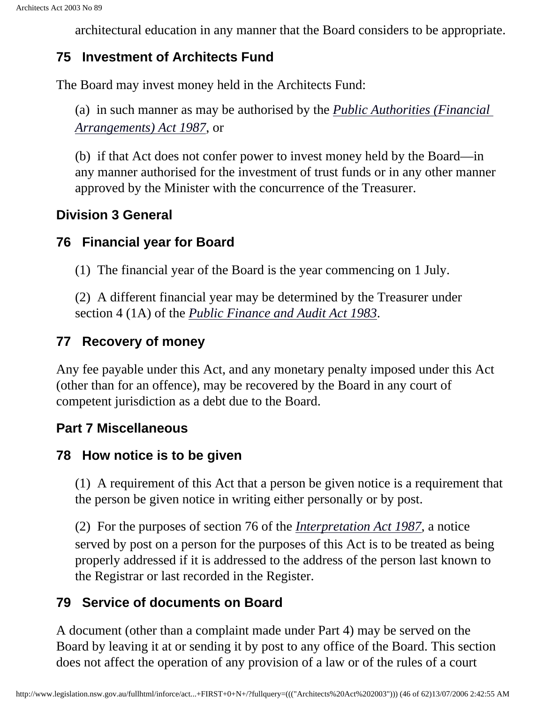architectural education in any manner that the Board considers to be appropriate.

#### <span id="page-45-0"></span>**75 Investment of Architects Fund**

<span id="page-45-1"></span>The Board may invest money held in the Architects Fund:

(a) in such manner as may be authorised by the *[Public Authorities \(Financial](http://www.legislation.nsw.gov.au/summarize/inforce/s/1/?xref=RecordType%3DACTTOC%20AND%20Year%3D1987%20AND%20Actno%3D33&nohits=y)  [Arrangements\) Act 1987](http://www.legislation.nsw.gov.au/summarize/inforce/s/1/?xref=RecordType%3DACTTOC%20AND%20Year%3D1987%20AND%20Actno%3D33&nohits=y)*, or

(b) if that Act does not confer power to invest money held by the Board—in any manner authorised for the investment of trust funds or in any other manner approved by the Minister with the concurrence of the Treasurer.

### **Division 3 General**

#### <span id="page-45-2"></span>**76 Financial year for Board**

(1) The financial year of the Board is the year commencing on 1 July.

(2) A different financial year may be determined by the Treasurer under section 4 (1A) of the *[Public Finance and Audit Act 1983](http://www.legislation.nsw.gov.au/summarize/inforce/s/1/?xref=RecordType%3DACTTOC%20AND%20Year%3D1983%20AND%20Actno%3D152&nohits=y)*.

### <span id="page-45-3"></span>**77 Recovery of money**

Any fee payable under this Act, and any monetary penalty imposed under this Act (other than for an offence), may be recovered by the Board in any court of competent jurisdiction as a debt due to the Board.

### <span id="page-45-4"></span>**Part 7 Miscellaneous**

#### <span id="page-45-5"></span>**78 How notice is to be given**

(1) A requirement of this Act that a person be given notice is a requirement that the person be given notice in writing either personally or by post.

<span id="page-45-6"></span>(2) For the purposes of section 76 of the *[Interpretation Act 1987](http://www.legislation.nsw.gov.au/summarize/inforce/s/1/?xref=RecordType%3DACTTOC%20AND%20Year%3D1987%20AND%20Actno%3D15&nohits=y)*, a notice served by post on a person for the purposes of this Act is to be treated as being properly addressed if it is addressed to the address of the person last known to the Registrar or last recorded in the Register.

## **79 Service of documents on Board**

A document (other than a complaint made under Part 4) may be served on the Board by leaving it at or sending it by post to any office of the Board. This section does not affect the operation of any provision of a law or of the rules of a court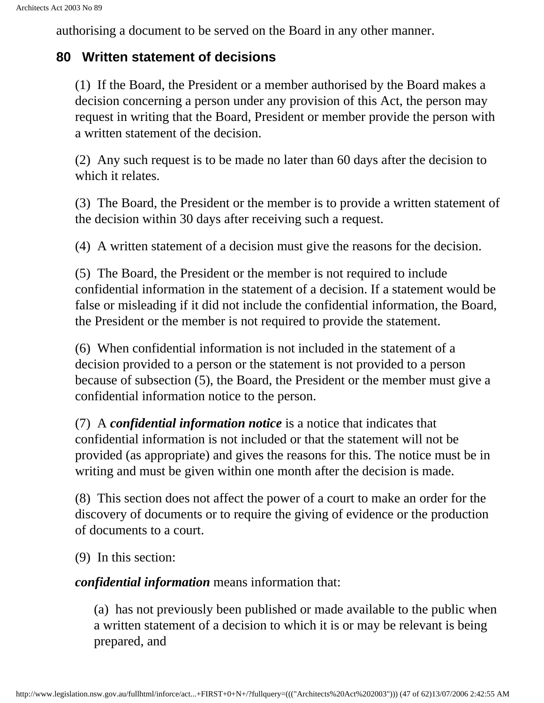authorising a document to be served on the Board in any other manner.

#### <span id="page-46-0"></span>**80 Written statement of decisions**

(1) If the Board, the President or a member authorised by the Board makes a decision concerning a person under any provision of this Act, the person may request in writing that the Board, President or member provide the person with a written statement of the decision.

(2) Any such request is to be made no later than 60 days after the decision to which it relates.

(3) The Board, the President or the member is to provide a written statement of the decision within 30 days after receiving such a request.

(4) A written statement of a decision must give the reasons for the decision.

(5) The Board, the President or the member is not required to include confidential information in the statement of a decision. If a statement would be false or misleading if it did not include the confidential information, the Board, the President or the member is not required to provide the statement.

(6) When confidential information is not included in the statement of a decision provided to a person or the statement is not provided to a person because of subsection (5), the Board, the President or the member must give a confidential information notice to the person.

(7) A *confidential information notice* is a notice that indicates that confidential information is not included or that the statement will not be provided (as appropriate) and gives the reasons for this. The notice must be in writing and must be given within one month after the decision is made.

(8) This section does not affect the power of a court to make an order for the discovery of documents or to require the giving of evidence or the production of documents to a court.

(9) In this section:

*confidential information* means information that:

(a) has not previously been published or made available to the public when a written statement of a decision to which it is or may be relevant is being prepared, and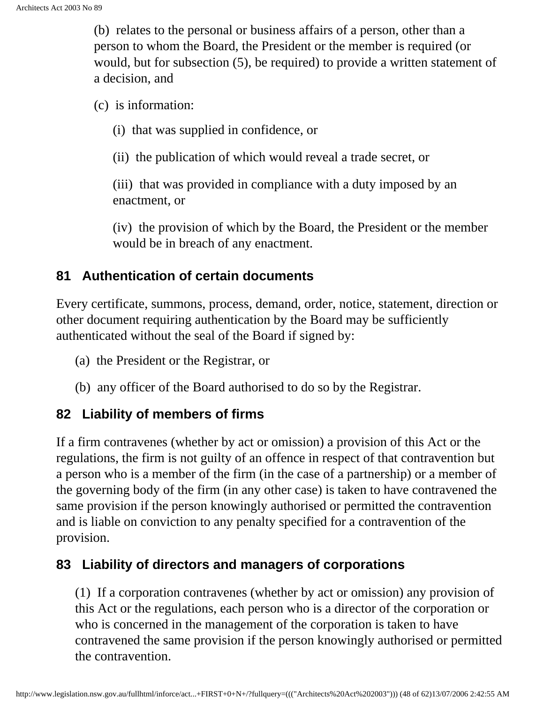(b) relates to the personal or business affairs of a person, other than a person to whom the Board, the President or the member is required (or would, but for subsection (5), be required) to provide a written statement of a decision, and

(c) is information:

(i) that was supplied in confidence, or

(ii) the publication of which would reveal a trade secret, or

(iii) that was provided in compliance with a duty imposed by an enactment, or

(iv) the provision of which by the Board, the President or the member would be in breach of any enactment.

#### <span id="page-47-0"></span>**81 Authentication of certain documents**

Every certificate, summons, process, demand, order, notice, statement, direction or other document requiring authentication by the Board may be sufficiently authenticated without the seal of the Board if signed by:

- (a) the President or the Registrar, or
- (b) any officer of the Board authorised to do so by the Registrar.

#### <span id="page-47-1"></span>**82 Liability of members of firms**

If a firm contravenes (whether by act or omission) a provision of this Act or the regulations, the firm is not guilty of an offence in respect of that contravention but a person who is a member of the firm (in the case of a partnership) or a member of the governing body of the firm (in any other case) is taken to have contravened the same provision if the person knowingly authorised or permitted the contravention and is liable on conviction to any penalty specified for a contravention of the provision.

#### <span id="page-47-2"></span>**83 Liability of directors and managers of corporations**

(1) If a corporation contravenes (whether by act or omission) any provision of this Act or the regulations, each person who is a director of the corporation or who is concerned in the management of the corporation is taken to have contravened the same provision if the person knowingly authorised or permitted the contravention.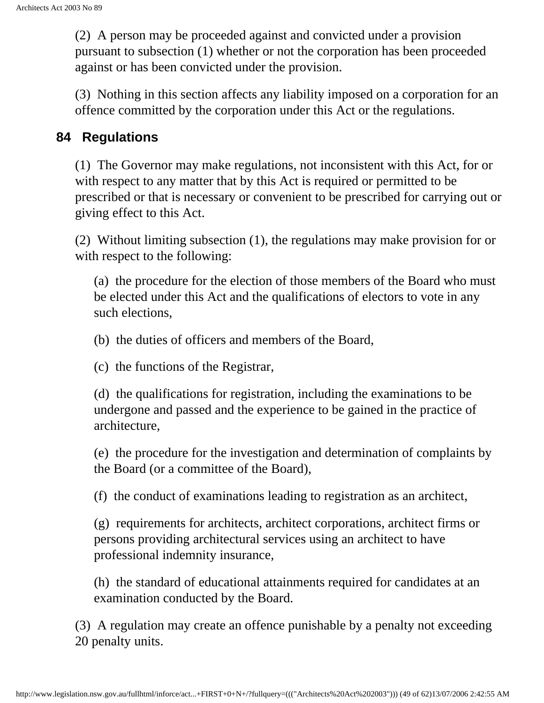(2) A person may be proceeded against and convicted under a provision pursuant to subsection (1) whether or not the corporation has been proceeded against or has been convicted under the provision.

(3) Nothing in this section affects any liability imposed on a corporation for an offence committed by the corporation under this Act or the regulations.

#### <span id="page-48-0"></span>**84 Regulations**

(1) The Governor may make regulations, not inconsistent with this Act, for or with respect to any matter that by this Act is required or permitted to be prescribed or that is necessary or convenient to be prescribed for carrying out or giving effect to this Act.

(2) Without limiting subsection (1), the regulations may make provision for or with respect to the following:

(a) the procedure for the election of those members of the Board who must be elected under this Act and the qualifications of electors to vote in any such elections,

(b) the duties of officers and members of the Board,

(c) the functions of the Registrar,

(d) the qualifications for registration, including the examinations to be undergone and passed and the experience to be gained in the practice of architecture,

(e) the procedure for the investigation and determination of complaints by the Board (or a committee of the Board),

(f) the conduct of examinations leading to registration as an architect,

(g) requirements for architects, architect corporations, architect firms or persons providing architectural services using an architect to have professional indemnity insurance,

(h) the standard of educational attainments required for candidates at an examination conducted by the Board.

<span id="page-48-1"></span>(3) A regulation may create an offence punishable by a penalty not exceeding 20 penalty units.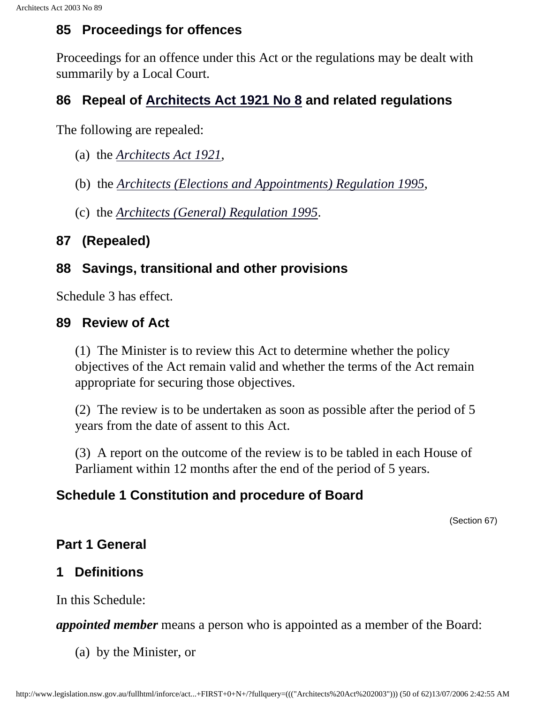### **85 Proceedings for offences**

Proceedings for an offence under this Act or the regulations may be dealt with summarily by a Local Court.

#### <span id="page-49-0"></span>**86 Repeal of [Architects Act 1921 No 8](http://www.legislation.nsw.gov.au/summarize/inforce/s/1/?xref=RecordType%3DACTTOC%20AND%20Year%3D1921%20AND%20Actno%3D8&nohits=y) and related regulations**

The following are repealed:

- (a) the *[Architects Act 1921](http://www.legislation.nsw.gov.au/summarize/inforce/s/1/?xref=RecordType%3DACTTOC%20AND%20Year%3D1921%20AND%20Actno%3D8&nohits=y)*,
- (b) the *[Architects \(Elections and Appointments\) Regulation 1995](http://www.legislation.nsw.gov.au/summarize/inforce/s/1/?xref=RecordType%3DSRTOC%20AND%20Year%3D1995%20AND%20SRNo%3D370&nohits=y)*,
- (c) the *[Architects \(General\) Regulation 1995](http://www.legislation.nsw.gov.au/summarize/inforce/s/1/?xref=RecordType%3DSRTOC%20AND%20Year%3D1995%20AND%20SRNo%3D371&nohits=y)*.

#### **87 (Repealed)**

### <span id="page-49-1"></span>**88 Savings, transitional and other provisions**

Schedule 3 has effect.

#### <span id="page-49-2"></span>**89 Review of Act**

(1) The Minister is to review this Act to determine whether the policy objectives of the Act remain valid and whether the terms of the Act remain appropriate for securing those objectives.

(2) The review is to be undertaken as soon as possible after the period of 5 years from the date of assent to this Act.

(3) A report on the outcome of the review is to be tabled in each House of Parliament within 12 months after the end of the period of 5 years.

### <span id="page-49-3"></span>**Schedule 1 Constitution and procedure of Board**

(Section 67)

### <span id="page-49-4"></span>**Part 1 General**

## **1 Definitions**

In this Schedule:

*appointed member* means a person who is appointed as a member of the Board:

(a) by the Minister, or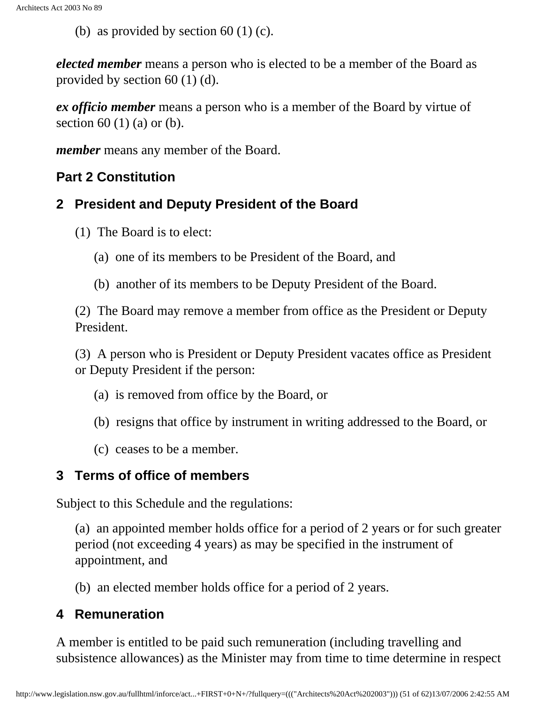(b) as provided by section 60 (1) (c).

*elected member* means a person who is elected to be a member of the Board as provided by section 60 (1) (d).

*ex officio member* means a person who is a member of the Board by virtue of section  $60(1)(a)$  or  $(b)$ .

*member* means any member of the Board.

#### **Part 2 Constitution**

#### **2 President and Deputy President of the Board**

- (1) The Board is to elect:
	- (a) one of its members to be President of the Board, and
	- (b) another of its members to be Deputy President of the Board.

(2) The Board may remove a member from office as the President or Deputy President.

(3) A person who is President or Deputy President vacates office as President or Deputy President if the person:

- (a) is removed from office by the Board, or
- (b) resigns that office by instrument in writing addressed to the Board, or
- (c) ceases to be a member.

#### **3 Terms of office of members**

Subject to this Schedule and the regulations:

(a) an appointed member holds office for a period of 2 years or for such greater period (not exceeding 4 years) as may be specified in the instrument of appointment, and

(b) an elected member holds office for a period of 2 years.

#### **4 Remuneration**

A member is entitled to be paid such remuneration (including travelling and subsistence allowances) as the Minister may from time to time determine in respect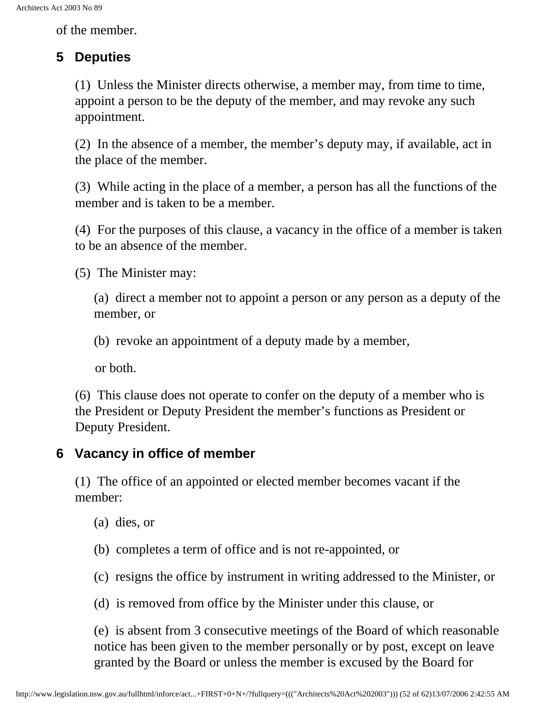of the member.

## **5 Deputies**

(1) Unless the Minister directs otherwise, a member may, from time to time, appoint a person to be the deputy of the member, and may revoke any such appointment.

(2) In the absence of a member, the member's deputy may, if available, act in the place of the member.

(3) While acting in the place of a member, a person has all the functions of the member and is taken to be a member.

(4) For the purposes of this clause, a vacancy in the office of a member is taken to be an absence of the member.

(5) The Minister may:

(a) direct a member not to appoint a person or any person as a deputy of the member, or

(b) revoke an appointment of a deputy made by a member,

or both.

(6) This clause does not operate to confer on the deputy of a member who is the President or Deputy President the member's functions as President or Deputy President.

## **6 Vacancy in office of member**

(1) The office of an appointed or elected member becomes vacant if the member:

- (a) dies, or
- (b) completes a term of office and is not re-appointed, or
- (c) resigns the office by instrument in writing addressed to the Minister, or
- (d) is removed from office by the Minister under this clause, or

(e) is absent from 3 consecutive meetings of the Board of which reasonable notice has been given to the member personally or by post, except on leave granted by the Board or unless the member is excused by the Board for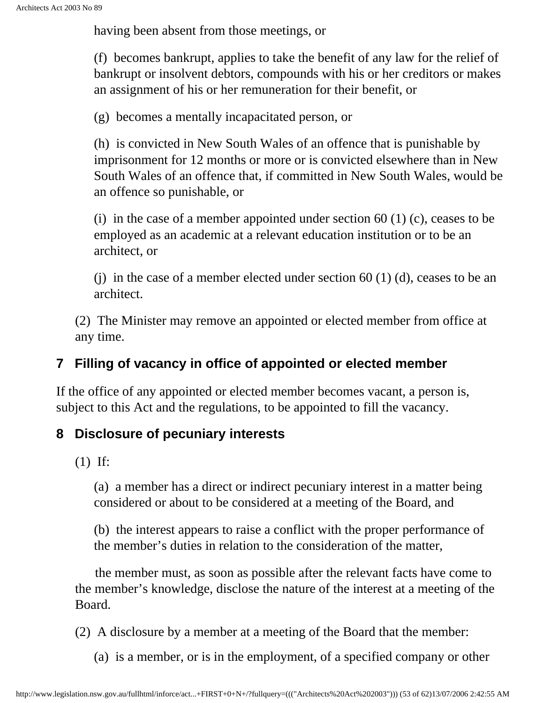having been absent from those meetings, or

(f) becomes bankrupt, applies to take the benefit of any law for the relief of bankrupt or insolvent debtors, compounds with his or her creditors or makes an assignment of his or her remuneration for their benefit, or

(g) becomes a mentally incapacitated person, or

(h) is convicted in New South Wales of an offence that is punishable by imprisonment for 12 months or more or is convicted elsewhere than in New South Wales of an offence that, if committed in New South Wales, would be an offence so punishable, or

(i) in the case of a member appointed under section 60 (1) (c), ceases to be employed as an academic at a relevant education institution or to be an architect, or

(i) in the case of a member elected under section  $60$  (1) (d), ceases to be an architect.

(2) The Minister may remove an appointed or elected member from office at any time.

### **7 Filling of vacancy in office of appointed or elected member**

If the office of any appointed or elected member becomes vacant, a person is, subject to this Act and the regulations, to be appointed to fill the vacancy.

### **8 Disclosure of pecuniary interests**

(1) If:

(a) a member has a direct or indirect pecuniary interest in a matter being considered or about to be considered at a meeting of the Board, and

(b) the interest appears to raise a conflict with the proper performance of the member's duties in relation to the consideration of the matter,

 the member must, as soon as possible after the relevant facts have come to the member's knowledge, disclose the nature of the interest at a meeting of the Board.

(2) A disclosure by a member at a meeting of the Board that the member:

(a) is a member, or is in the employment, of a specified company or other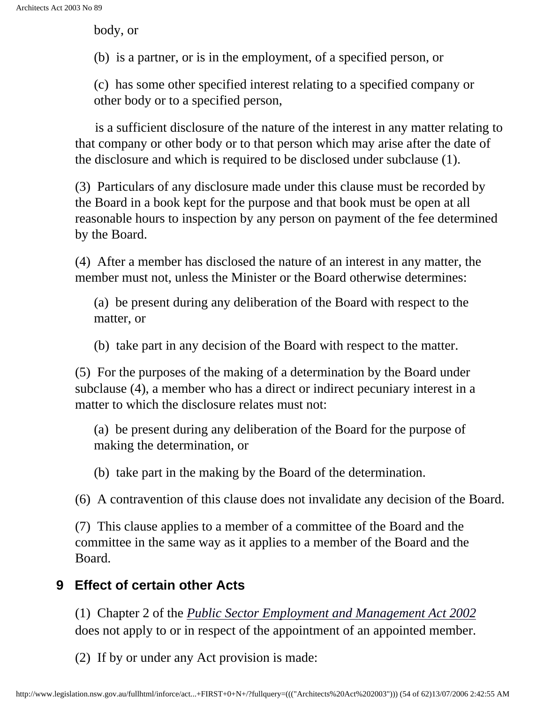body, or

(b) is a partner, or is in the employment, of a specified person, or

(c) has some other specified interest relating to a specified company or other body or to a specified person,

 is a sufficient disclosure of the nature of the interest in any matter relating to that company or other body or to that person which may arise after the date of the disclosure and which is required to be disclosed under subclause (1).

(3) Particulars of any disclosure made under this clause must be recorded by the Board in a book kept for the purpose and that book must be open at all reasonable hours to inspection by any person on payment of the fee determined by the Board.

(4) After a member has disclosed the nature of an interest in any matter, the member must not, unless the Minister or the Board otherwise determines:

(a) be present during any deliberation of the Board with respect to the matter, or

(b) take part in any decision of the Board with respect to the matter.

(5) For the purposes of the making of a determination by the Board under subclause (4), a member who has a direct or indirect pecuniary interest in a matter to which the disclosure relates must not:

(a) be present during any deliberation of the Board for the purpose of making the determination, or

(b) take part in the making by the Board of the determination.

(6) A contravention of this clause does not invalidate any decision of the Board.

(7) This clause applies to a member of a committee of the Board and the committee in the same way as it applies to a member of the Board and the Board.

### **9 Effect of certain other Acts**

(1) Chapter 2 of the *[Public Sector Employment and Management Act 2002](http://www.legislation.nsw.gov.au/summarize/inforce/s/1/?xref=RecordType%3DACTTOC%20AND%20Year%3D2002%20AND%20Actno%3D43&nohits=y)* does not apply to or in respect of the appointment of an appointed member.

(2) If by or under any Act provision is made: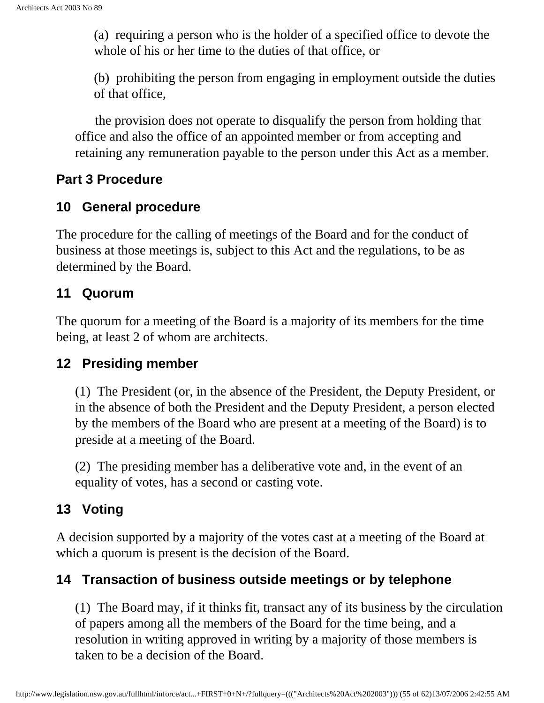(a) requiring a person who is the holder of a specified office to devote the whole of his or her time to the duties of that office, or

(b) prohibiting the person from engaging in employment outside the duties of that office,

 the provision does not operate to disqualify the person from holding that office and also the office of an appointed member or from accepting and retaining any remuneration payable to the person under this Act as a member.

#### **Part 3 Procedure**

#### **10 General procedure**

The procedure for the calling of meetings of the Board and for the conduct of business at those meetings is, subject to this Act and the regulations, to be as determined by the Board.

#### **11 Quorum**

The quorum for a meeting of the Board is a majority of its members for the time being, at least 2 of whom are architects.

#### **12 Presiding member**

(1) The President (or, in the absence of the President, the Deputy President, or in the absence of both the President and the Deputy President, a person elected by the members of the Board who are present at a meeting of the Board) is to preside at a meeting of the Board.

(2) The presiding member has a deliberative vote and, in the event of an equality of votes, has a second or casting vote.

#### **13 Voting**

A decision supported by a majority of the votes cast at a meeting of the Board at which a quorum is present is the decision of the Board.

#### **14 Transaction of business outside meetings or by telephone**

(1) The Board may, if it thinks fit, transact any of its business by the circulation of papers among all the members of the Board for the time being, and a resolution in writing approved in writing by a majority of those members is taken to be a decision of the Board.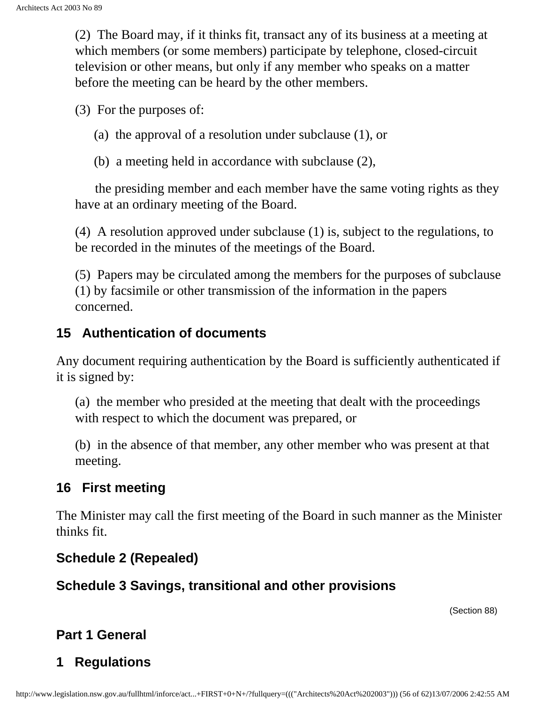(2) The Board may, if it thinks fit, transact any of its business at a meeting at which members (or some members) participate by telephone, closed-circuit television or other means, but only if any member who speaks on a matter before the meeting can be heard by the other members.

(3) For the purposes of:

- (a) the approval of a resolution under subclause (1), or
- (b) a meeting held in accordance with subclause (2),

 the presiding member and each member have the same voting rights as they have at an ordinary meeting of the Board.

(4) A resolution approved under subclause (1) is, subject to the regulations, to be recorded in the minutes of the meetings of the Board.

(5) Papers may be circulated among the members for the purposes of subclause (1) by facsimile or other transmission of the information in the papers concerned.

#### **15 Authentication of documents**

Any document requiring authentication by the Board is sufficiently authenticated if it is signed by:

(a) the member who presided at the meeting that dealt with the proceedings with respect to which the document was prepared, or

(b) in the absence of that member, any other member who was present at that meeting.

#### **16 First meeting**

The Minister may call the first meeting of the Board in such manner as the Minister thinks fit.

#### **Schedule 2 (Repealed)**

#### <span id="page-55-0"></span>**Schedule 3 Savings, transitional and other provisions**

(Section 88)

### <span id="page-55-1"></span>**Part 1 General**

## **1 Regulations**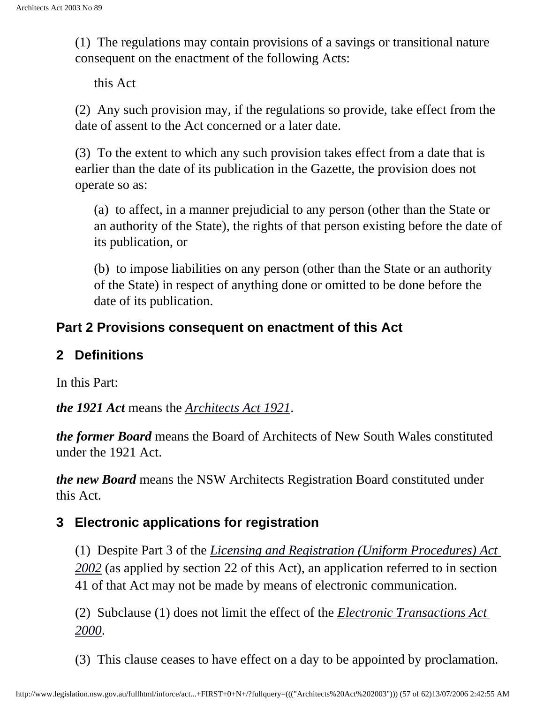(1) The regulations may contain provisions of a savings or transitional nature consequent on the enactment of the following Acts:

this Act

(2) Any such provision may, if the regulations so provide, take effect from the date of assent to the Act concerned or a later date.

(3) To the extent to which any such provision takes effect from a date that is earlier than the date of its publication in the Gazette, the provision does not operate so as:

(a) to affect, in a manner prejudicial to any person (other than the State or an authority of the State), the rights of that person existing before the date of its publication, or

(b) to impose liabilities on any person (other than the State or an authority of the State) in respect of anything done or omitted to be done before the date of its publication.

#### **Part 2 Provisions consequent on enactment of this Act**

#### **2 Definitions**

In this Part:

*the 1921 Act* means the *[Architects Act 1921](http://www.legislation.nsw.gov.au/summarize/inforce/s/1/?xref=RecordType%3DACTTOC%20AND%20Year%3D1921%20AND%20Actno%3D8&nohits=y)*.

*the former Board* means the Board of Architects of New South Wales constituted under the 1921 Act.

*the new Board* means the NSW Architects Registration Board constituted under this Act.

#### **3 Electronic applications for registration**

(1) Despite Part 3 of the *[Licensing and Registration \(Uniform Procedures\) Act](http://www.legislation.nsw.gov.au/summarize/inforce/s/1/?xref=RecordType%3DACTTOC%20AND%20Year%3D2002%20AND%20Actno%3D28&nohits=y) [2002](http://www.legislation.nsw.gov.au/summarize/inforce/s/1/?xref=RecordType%3DACTTOC%20AND%20Year%3D2002%20AND%20Actno%3D28&nohits=y)* (as applied by section 22 of this Act), an application referred to in section 41 of that Act may not be made by means of electronic communication.

(2) Subclause (1) does not limit the effect of the *[Electronic Transactions Act](http://www.legislation.nsw.gov.au/summarize/inforce/s/1/?xref=RecordType%3DACTTOC%20AND%20Year%3D2000%20AND%20Actno%3D8&nohits=y) [2000](http://www.legislation.nsw.gov.au/summarize/inforce/s/1/?xref=RecordType%3DACTTOC%20AND%20Year%3D2000%20AND%20Actno%3D8&nohits=y)*.

(3) This clause ceases to have effect on a day to be appointed by proclamation.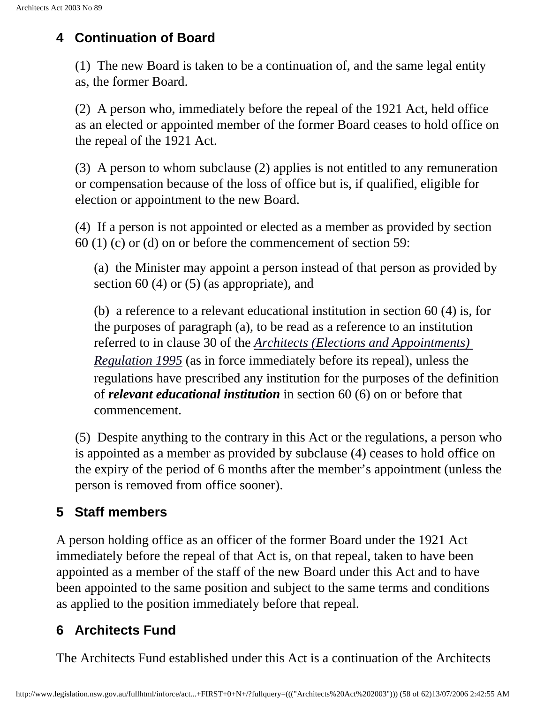### **4 Continuation of Board**

(1) The new Board is taken to be a continuation of, and the same legal entity as, the former Board.

(2) A person who, immediately before the repeal of the 1921 Act, held office as an elected or appointed member of the former Board ceases to hold office on the repeal of the 1921 Act.

(3) A person to whom subclause (2) applies is not entitled to any remuneration or compensation because of the loss of office but is, if qualified, eligible for election or appointment to the new Board.

(4) If a person is not appointed or elected as a member as provided by section 60 (1) (c) or (d) on or before the commencement of section 59:

(a) the Minister may appoint a person instead of that person as provided by section 60 (4) or (5) (as appropriate), and

(b) a reference to a relevant educational institution in section 60 (4) is, for the purposes of paragraph (a), to be read as a reference to an institution referred to in clause 30 of the *[Architects \(Elections and Appointments\)](http://www.legislation.nsw.gov.au/summarize/inforce/s/1/?xref=RecordType%3DSRTOC%20AND%20Year%3D1995%20AND%20SRNo%3D370&nohits=y) [Regulation 1995](http://www.legislation.nsw.gov.au/summarize/inforce/s/1/?xref=RecordType%3DSRTOC%20AND%20Year%3D1995%20AND%20SRNo%3D370&nohits=y)* (as in force immediately before its repeal), unless the regulations have prescribed any institution for the purposes of the definition of *relevant educational institution* in section 60 (6) on or before that commencement.

(5) Despite anything to the contrary in this Act or the regulations, a person who is appointed as a member as provided by subclause (4) ceases to hold office on the expiry of the period of 6 months after the member's appointment (unless the person is removed from office sooner).

## **5 Staff members**

A person holding office as an officer of the former Board under the 1921 Act immediately before the repeal of that Act is, on that repeal, taken to have been appointed as a member of the staff of the new Board under this Act and to have been appointed to the same position and subject to the same terms and conditions as applied to the position immediately before that repeal.

## **6 Architects Fund**

The Architects Fund established under this Act is a continuation of the Architects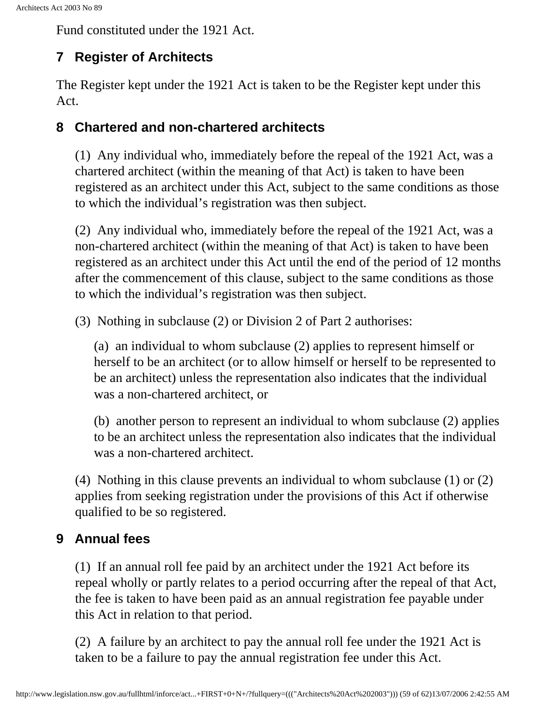Fund constituted under the 1921 Act.

## **7 Register of Architects**

The Register kept under the 1921 Act is taken to be the Register kept under this Act.

#### **8 Chartered and non-chartered architects**

(1) Any individual who, immediately before the repeal of the 1921 Act, was a chartered architect (within the meaning of that Act) is taken to have been registered as an architect under this Act, subject to the same conditions as those to which the individual's registration was then subject.

(2) Any individual who, immediately before the repeal of the 1921 Act, was a non-chartered architect (within the meaning of that Act) is taken to have been registered as an architect under this Act until the end of the period of 12 months after the commencement of this clause, subject to the same conditions as those to which the individual's registration was then subject.

(3) Nothing in subclause (2) or Division 2 of Part 2 authorises:

(a) an individual to whom subclause (2) applies to represent himself or herself to be an architect (or to allow himself or herself to be represented to be an architect) unless the representation also indicates that the individual was a non-chartered architect, or

(b) another person to represent an individual to whom subclause (2) applies to be an architect unless the representation also indicates that the individual was a non-chartered architect.

(4) Nothing in this clause prevents an individual to whom subclause (1) or (2) applies from seeking registration under the provisions of this Act if otherwise qualified to be so registered.

## **9 Annual fees**

(1) If an annual roll fee paid by an architect under the 1921 Act before its repeal wholly or partly relates to a period occurring after the repeal of that Act, the fee is taken to have been paid as an annual registration fee payable under this Act in relation to that period.

(2) A failure by an architect to pay the annual roll fee under the 1921 Act is taken to be a failure to pay the annual registration fee under this Act.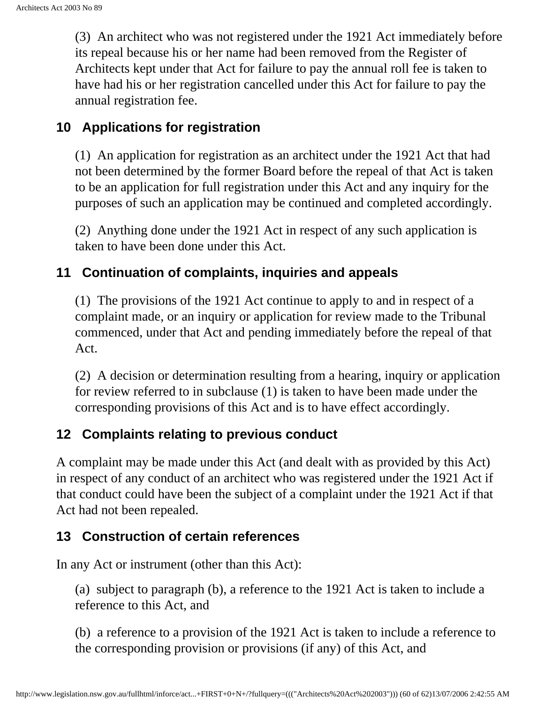(3) An architect who was not registered under the 1921 Act immediately before its repeal because his or her name had been removed from the Register of Architects kept under that Act for failure to pay the annual roll fee is taken to have had his or her registration cancelled under this Act for failure to pay the annual registration fee.

#### **10 Applications for registration**

(1) An application for registration as an architect under the 1921 Act that had not been determined by the former Board before the repeal of that Act is taken to be an application for full registration under this Act and any inquiry for the purposes of such an application may be continued and completed accordingly.

(2) Anything done under the 1921 Act in respect of any such application is taken to have been done under this Act.

#### **11 Continuation of complaints, inquiries and appeals**

(1) The provisions of the 1921 Act continue to apply to and in respect of a complaint made, or an inquiry or application for review made to the Tribunal commenced, under that Act and pending immediately before the repeal of that Act.

(2) A decision or determination resulting from a hearing, inquiry or application for review referred to in subclause (1) is taken to have been made under the corresponding provisions of this Act and is to have effect accordingly.

#### **12 Complaints relating to previous conduct**

A complaint may be made under this Act (and dealt with as provided by this Act) in respect of any conduct of an architect who was registered under the 1921 Act if that conduct could have been the subject of a complaint under the 1921 Act if that Act had not been repealed.

#### **13 Construction of certain references**

In any Act or instrument (other than this Act):

(a) subject to paragraph (b), a reference to the 1921 Act is taken to include a reference to this Act, and

(b) a reference to a provision of the 1921 Act is taken to include a reference to the corresponding provision or provisions (if any) of this Act, and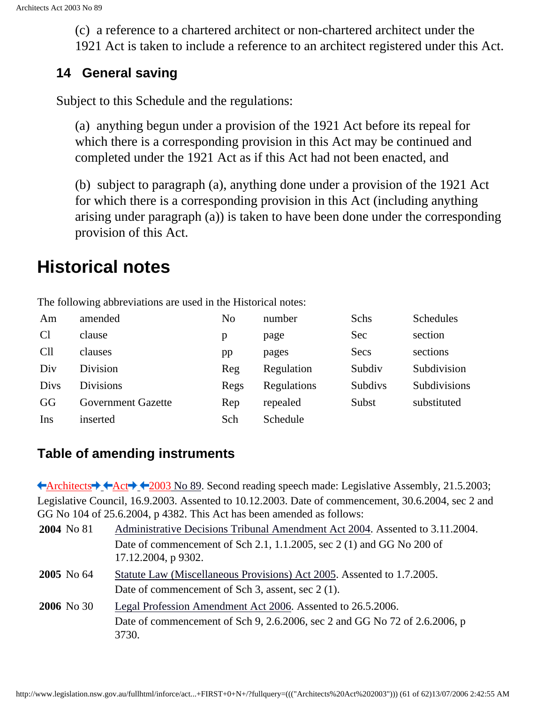(c) a reference to a chartered architect or non-chartered architect under the 1921 Act is taken to include a reference to an architect registered under this Act.

#### **14 General saving**

Subject to this Schedule and the regulations:

(a) anything begun under a provision of the 1921 Act before its repeal for which there is a corresponding provision in this Act may be continued and completed under the 1921 Act as if this Act had not been enacted, and

(b) subject to paragraph (a), anything done under a provision of the 1921 Act for which there is a corresponding provision in this Act (including anything arising under paragraph (a)) is taken to have been done under the corresponding provision of this Act.

# <span id="page-60-0"></span>**Historical notes**

| Am          | amended                   | No   | number      | Schs    | Schedules    |
|-------------|---------------------------|------|-------------|---------|--------------|
|             |                           |      |             |         |              |
| <b>Cl</b>   | clause                    | p    | page        | Sec     | section      |
| <b>Cll</b>  | clauses                   | pp   | pages       | Secs    | sections     |
| Div         | Division                  | Reg  | Regulation  | Subdiv  | Subdivision  |
| <b>Divs</b> | <b>Divisions</b>          | Regs | Regulations | Subdivs | Subdivisions |
| GG          | <b>Government Gazette</b> | Rep  | repealed    | Subst   | substituted  |
| Ins         | inserted                  | Sch  | Schedule    |         |              |

The following abbreviations are used in the Historical notes:

#### **Table of amending instruments**

<span id="page-60-2"></span><span id="page-60-1"></span>[Architects](http://www.legislation.nsw.gov.au/summarize/inforce/s/1/?xref=RecordType%3DACTTOC%20AND%20Year%3D2003%20AND%20Actno%3D89&nohits=y)  $\blacklozenge$  [Act](http://www.legislation.nsw.gov.au/summarize/inforce/s/1/?xref=RecordType%3DACTTOC%20AND%20Year%3D2003%20AND%20Actno%3D89&nohits=y)  $\blacklozenge$  4[2003 No 89.](http://www.legislation.nsw.gov.au/summarize/inforce/s/1/?xref=RecordType%3DACTTOC%20AND%20Year%3D2003%20AND%20Actno%3D89&nohits=y) Second reading speech made: Legislative Assembly, 21.5.2003; Legislative Council, 16.9.2003. Assented to 10.12.2003. Date of commencement, 30.6.2004, sec 2 and GG No 104 of 25.6.2004, p 4382. This Act has been amended as follows:

| 2004 No 81        | Administrative Decisions Tribunal Amendment Act 2004. Assented to 3.11.2004.                 |  |  |
|-------------------|----------------------------------------------------------------------------------------------|--|--|
|                   | Date of commencement of Sch 2.1, 1.1.2005, sec 2 (1) and GG No 200 of<br>17.12.2004, p 9302. |  |  |
| $2005$ No 64      | Statute Law (Miscellaneous Provisions) Act 2005. Assented to 1.7.2005.                       |  |  |
|                   | Date of commencement of Sch 3, assent, sec 2 (1).                                            |  |  |
| <b>2006</b> No 30 | Legal Profession Amendment Act 2006. Assented to 26.5.2006.                                  |  |  |
|                   | Date of commencement of Sch 9, 2.6.2006, sec 2 and GG No 72 of 2.6.2006, p                   |  |  |
|                   | 3730.                                                                                        |  |  |